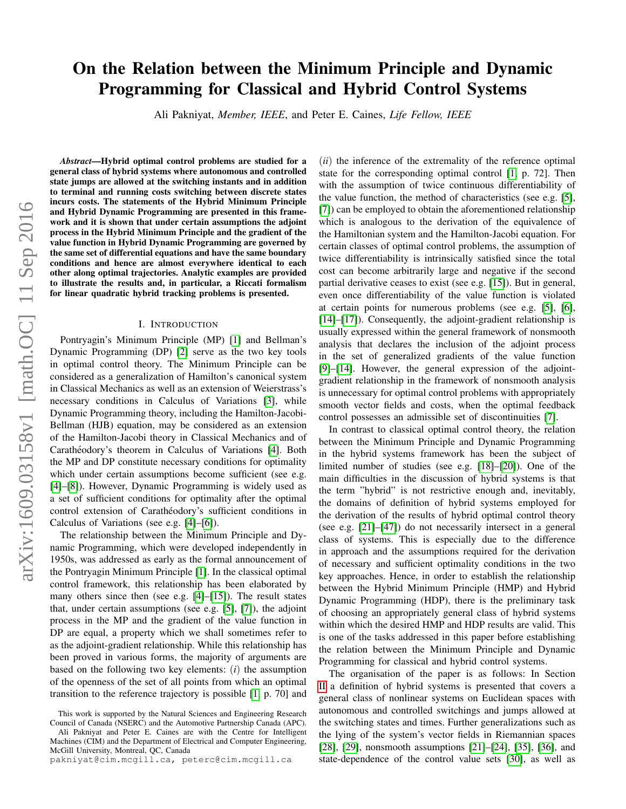# On the Relation between the Minimum Principle and Dynamic Programming for Classical and Hybrid Control Systems

Ali Pakniyat, *Member, IEEE*, and Peter E. Caines, *Life Fellow, IEEE*

*Abstract*—Hybrid optimal control problems are studied for a general class of hybrid systems where autonomous and controlled state jumps are allowed at the switching instants and in addition to terminal and running costs switching between discrete states incurs costs. The statements of the Hybrid Minimum Principle and Hybrid Dynamic Programming are presented in this framework and it is shown that under certain assumptions the adjoint process in the Hybrid Minimum Principle and the gradient of the value function in Hybrid Dynamic Programming are governed by the same set of differential equations and have the same boundary conditions and hence are almost everywhere identical to each other along optimal trajectories. Analytic examples are provided to illustrate the results and, in particular, a Riccati formalism for linear quadratic hybrid tracking problems is presented.

#### I. INTRODUCTION

Pontryagin's Minimum Principle (MP) [\[1\]](#page-13-0) and Bellman's Dynamic Programming (DP) [\[2\]](#page-13-1) serve as the two key tools in optimal control theory. The Minimum Principle can be considered as a generalization of Hamilton's canonical system in Classical Mechanics as well as an extension of Weierstrass's necessary conditions in Calculus of Variations [\[3\]](#page-13-2), while Dynamic Programming theory, including the Hamilton-Jacobi-Bellman (HJB) equation, may be considered as an extension of the Hamilton-Jacobi theory in Classical Mechanics and of Carathéodory's theorem in Calculus of Variations [\[4\]](#page-13-3). Both the MP and DP constitute necessary conditions for optimality which under certain assumptions become sufficient (see e.g. [\[4\]](#page-13-3)–[\[8\]](#page-13-4)). However, Dynamic Programming is widely used as a set of sufficient conditions for optimality after the optimal control extension of Carathéodory's sufficient conditions in Calculus of Variations (see e.g. [\[4\]](#page-13-3)–[\[6\]](#page-13-5)).

The relationship between the Minimum Principle and Dynamic Programming, which were developed independently in 1950s, was addressed as early as the formal announcement of the Pontryagin Minimum Principle [\[1\]](#page-13-0). In the classical optimal control framework, this relationship has been elaborated by many others since then (see e.g. [\[4\]](#page-13-3)–[\[15\]](#page-13-6)). The result states that, under certain assumptions (see e.g. [\[5\]](#page-13-7), [\[7\]](#page-13-8)), the adjoint process in the MP and the gradient of the value function in DP are equal, a property which we shall sometimes refer to as the adjoint-gradient relationship. While this relationship has been proved in various forms, the majority of arguments are based on the following two key elements: (*i*) the assumption of the openness of the set of all points from which an optimal transition to the reference trajectory is possible [\[1,](#page-13-0) p. 70] and

Ali Pakniyat and Peter E. Caines are with the Centre for Intelligent Machines (CIM) and the Department of Electrical and Computer Engineering, McGill University, Montreal, QC, Canada

(*ii*) the inference of the extremality of the reference optimal state for the corresponding optimal control [\[1,](#page-13-0) p. 72]. Then with the assumption of twice continuous differentiability of the value function, the method of characteristics (see e.g. [\[5\]](#page-13-7), [\[7\]](#page-13-8)) can be employed to obtain the aforementioned relationship which is analogous to the derivation of the equivalence of the Hamiltonian system and the Hamilton-Jacobi equation. For certain classes of optimal control problems, the assumption of twice differentiability is intrinsically satisfied since the total cost can become arbitrarily large and negative if the second partial derivative ceases to exist (see e.g. [\[15\]](#page-13-6)). But in general, even once differentiability of the value function is violated at certain points for numerous problems (see e.g. [\[5\]](#page-13-7), [\[6\]](#page-13-5), [\[14\]](#page-13-9)–[\[17\]](#page-13-10)). Consequently, the adjoint-gradient relationship is usually expressed within the general framework of nonsmooth analysis that declares the inclusion of the adjoint process in the set of generalized gradients of the value function [\[9\]](#page-13-11)–[\[14\]](#page-13-9). However, the general expression of the adjointgradient relationship in the framework of nonsmooth analysis is unnecessary for optimal control problems with appropriately smooth vector fields and costs, when the optimal feedback control possesses an admissible set of discontinuities [\[7\]](#page-13-8).

In contrast to classical optimal control theory, the relation between the Minimum Principle and Dynamic Programming in the hybrid systems framework has been the subject of limited number of studies (see e.g. [\[18\]](#page-13-12)–[\[20\]](#page-13-13)). One of the main difficulties in the discussion of hybrid systems is that the term "hybrid" is not restrictive enough and, inevitably, the domains of definition of hybrid systems employed for the derivation of the results of hybrid optimal control theory (see e.g. [\[21\]](#page-13-14)–[\[47\]](#page-14-0)) do not necessarily intersect in a general class of systems. This is especially due to the difference in approach and the assumptions required for the derivation of necessary and sufficient optimality conditions in the two key approaches. Hence, in order to establish the relationship between the Hybrid Minimum Principle (HMP) and Hybrid Dynamic Programming (HDP), there is the preliminary task of choosing an appropriately general class of hybrid systems within which the desired HMP and HDP results are valid. This is one of the tasks addressed in this paper before establishing the relation between the Minimum Principle and Dynamic Programming for classical and hybrid control systems.

The organisation of the paper is as follows: In Section [II](#page-1-0) a definition of hybrid systems is presented that covers a general class of nonlinear systems on Euclidean spaces with autonomous and controlled switchings and jumps allowed at the switching states and times. Further generalizations such as the lying of the system's vector fields in Riemannian spaces [\[28\]](#page-13-15), [\[29\]](#page-13-16), nonsmooth assumptions [\[21\]](#page-13-14)–[\[24\]](#page-13-17), [\[35\]](#page-13-18), [\[36\]](#page-14-1), and state-dependence of the control value sets [\[30\]](#page-13-19), as well as

This work is supported by the Natural Sciences and Engineering Research Council of Canada (NSERC) and the Automotive Partnership Canada (APC).

pakniyat@cim.mcgill.ca, peterc@cim.mcgill.ca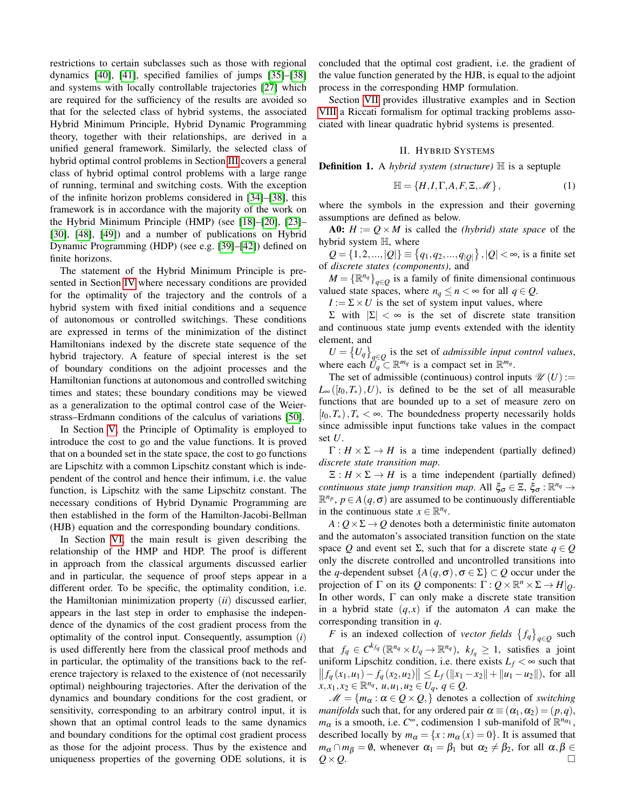restrictions to certain subclasses such as those with regional dynamics [\[40\]](#page-14-2), [\[41\]](#page-14-3), specified families of jumps [\[35\]](#page-13-18)–[\[38\]](#page-14-4) and systems with locally controllable trajectories [\[27\]](#page-13-20) which are required for the sufficiency of the results are avoided so that for the selected class of hybrid systems, the associated Hybrid Minimum Principle, Hybrid Dynamic Programming theory, together with their relationships, are derived in a unified general framework. Similarly, the selected class of hybrid optimal control problems in Section [III](#page-2-0) covers a general class of hybrid optimal control problems with a large range of running, terminal and switching costs. With the exception of the infinite horizon problems considered in [\[34\]](#page-13-21)–[\[38\]](#page-14-4), this framework is in accordance with the majority of the work on the Hybrid Minimum Principle (HMP) (see [\[18\]](#page-13-12)–[\[20\]](#page-13-13), [\[23\]](#page-13-22)– [\[30\]](#page-13-19), [\[48\]](#page-14-5), [\[49\]](#page-14-6)) and a number of publications on Hybrid Dynamic Programming (HDP) (see e.g. [\[39\]](#page-14-7)–[\[42\]](#page-14-8)) defined on finite horizons.

The statement of the Hybrid Minimum Principle is presented in Section [IV](#page-3-0) where necessary conditions are provided for the optimality of the trajectory and the controls of a hybrid system with fixed initial conditions and a sequence of autonomous or controlled switchings. These conditions are expressed in terms of the minimization of the distinct Hamiltonians indexed by the discrete state sequence of the hybrid trajectory. A feature of special interest is the set of boundary conditions on the adjoint processes and the Hamiltonian functions at autonomous and controlled switching times and states; these boundary conditions may be viewed as a generalization to the optimal control case of the Weierstrass–Erdmann conditions of the calculus of variations [\[50\]](#page-14-9).

In Section [V,](#page-4-0) the Principle of Optimality is employed to introduce the cost to go and the value functions. It is proved that on a bounded set in the state space, the cost to go functions are Lipschitz with a common Lipschitz constant which is independent of the control and hence their infimum, i.e. the value function, is Lipschitz with the same Lipschitz constant. The necessary conditions of Hybrid Dynamic Programming are then established in the form of the Hamilton-Jacobi-Bellman (HJB) equation and the corresponding boundary conditions.

In Section [VI,](#page-4-1) the main result is given describing the relationship of the HMP and HDP. The proof is different in approach from the classical arguments discussed earlier and in particular, the sequence of proof steps appear in a different order. To be specific, the optimality condition, i.e. the Hamiltonian minimization property (*ii*) discussed earlier, appears in the last step in order to emphasise the independence of the dynamics of the cost gradient process from the optimality of the control input. Consequently, assumption (*i*) is used differently here from the classical proof methods and in particular, the optimality of the transitions back to the reference trajectory is relaxed to the existence of (not necessarily optimal) neighbouring trajectories. After the derivation of the dynamics and boundary conditions for the cost gradient, or sensitivity, corresponding to an arbitrary control input, it is shown that an optimal control leads to the same dynamics and boundary conditions for the optimal cost gradient process as those for the adjoint process. Thus by the existence and uniqueness properties of the governing ODE solutions, it is concluded that the optimal cost gradient, i.e. the gradient of the value function generated by the HJB, is equal to the adjoint process in the corresponding HMP formulation.

Section [VII](#page-8-0) provides illustrative examples and in Section [VIII](#page-11-0) a Riccati formalism for optimal tracking problems associated with linear quadratic hybrid systems is presented.

#### II. HYBRID SYSTEMS

<span id="page-1-0"></span>Definition 1. A *hybrid system (structure)* H is a septuple

<span id="page-1-1"></span>
$$
\mathbb{H} = \{H, I, \Gamma, A, F, \Xi, \mathcal{M}\},\tag{1}
$$

where the symbols in the expression and their governing assumptions are defined as below.

A0:  $H := Q \times M$  is called the *(hybrid) state space* of the hybrid system H, where

*Q* = {1,2, ..., |*Q*|} ≡ { $q_1$ ,  $q_2$ , ...,  $q_{|Q|}$ }, |*Q*| < ∞, is a finite set of *discrete states (components)*, and

 $M = \left\{ \mathbb{R}^{n_q} \right\}_{q \in Q}$  is a family of finite dimensional continuous valued state spaces, where  $n_q \le n < \infty$  for all  $q \in Q$ .

 $I := \Sigma \times U$  is the set of system input values, where

Σ with  $|\Sigma| < ∞$  is the set of discrete state transition and continuous state jump events extended with the identity element, and

 $U = \left\{U_q\right\}_{q \in Q}$  is the set of *admissible input control values*, where each  $U_q \subset \mathbb{R}^{m_q}$  is a compact set in  $\mathbb{R}^{m_q}$ .

The set of admissible (continuous) control inputs  $\mathcal{U}(U)$ :=  $L_{\infty}([t_0,T_*),U)$ , is defined to be the set of all measurable functions that are bounded up to a set of measure zero on  $[t_0, T_*)$ ,  $T_* < \infty$ . The boundedness property necessarily holds since admissible input functions take values in the compact set *U*.

 $\Gamma : H \times \Sigma \to H$  is a time independent (partially defined) *discrete state transition map*.

 $\Xi : H \times \Sigma \to H$  is a time independent (partially defined) *continuous state jump transition map.* All  $\xi_{\sigma} \in \Xi$ ,  $\xi_{\sigma}$ :  $\mathbb{R}^{n_q} \to$  $\mathbb{R}^{n_p}$ ,  $p \in A(q, \sigma)$  are assumed to be continuously differentiable in the continuous state  $x \in \mathbb{R}^{n_q}$ .

 $A: Q \times \Sigma \rightarrow Q$  denotes both a deterministic finite automaton and the automaton's associated transition function on the state space *Q* and event set  $\Sigma$ , such that for a discrete state  $q \in Q$ only the discrete controlled and uncontrolled transitions into the *q*-dependent subset  $\{A(q, \sigma), \sigma \in \Sigma\} \subset Q$  occur under the projection of  $\Gamma$  on its  $\hat{Q}$  components:  $\Gamma: Q \times \mathbb{R}^n \times \Sigma \to H|_Q$ . In other words,  $\Gamma$  can only make a discrete state transition in a hybrid state  $(q, x)$  if the automaton *A* can make the corresponding transition in *q*.

*F* is an indexed collection of *vector fields*  $\{f_q\}_{q \in Q}$  such that  $f_q \in C^{k_{f_q}}(\mathbb{R}^{n_q} \times U_q \to \mathbb{R}^{n_q})$ ,  $k_{f_q} \geq 1$ , satisfies a joint uniform Lipschitz condition, i.e. there exists  $L_f < \infty$  such that  $|| f_q(x_1, u_1) - f_q(x_2, u_2)|| \leq L_f (||x_1 - x_2|| + ||u_1 - u_2||)$ , for all  $x, x_1, x_2 \in \mathbb{R}^{n_q}, u, u_1, u_2 \in U_q, q \in Q.$ 

 $M = \{m_{\alpha} : \alpha \in Q \times Q\}$  denotes a collection of *switching manifolds* such that, for any ordered pair  $\alpha \equiv (\alpha_1, \alpha_2) = (p, q)$ ,  $m_{\alpha}$  is a smooth, i.e.  $C^{\infty}$ , codimension 1 sub-manifold of  $\mathbb{R}^{n_{\alpha_1}}$ , described locally by  $m_{\alpha} = \{x : m_{\alpha}(x) = 0\}$ . It is assumed that *m*<sub>α</sub> ∩ *m*<sub>β</sub> = 0, whenever  $\alpha_1 = \beta_1$  but  $\alpha_2 \neq \beta_2$ , for all  $\alpha, \beta \in Q \times Q$ . *Q*×*Q*. □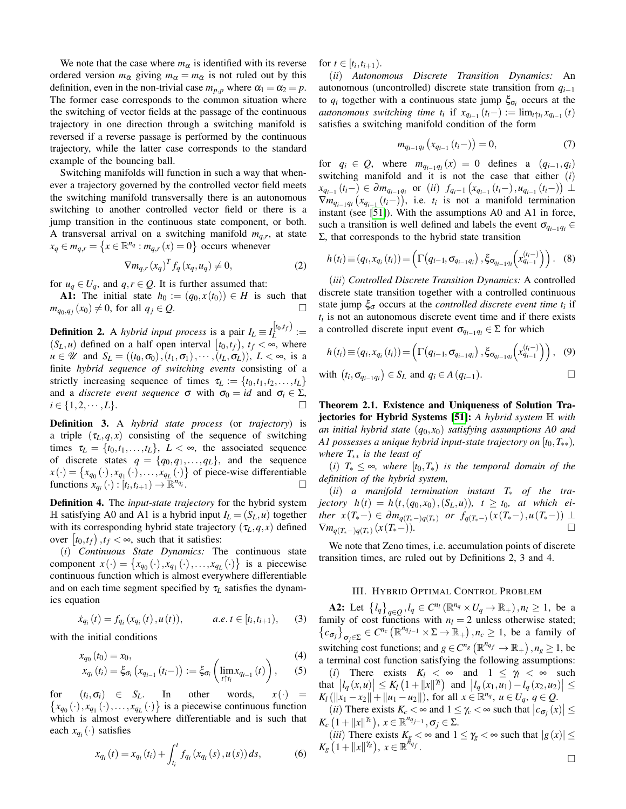We note that the case where  $m_{\alpha}$  is identified with its reverse ordered version  $m_{\overline{\alpha}}$  giving  $m_{\alpha} = m_{\overline{\alpha}}$  is not ruled out by this definition, even in the non-trivial case  $m_{p,p}$  where  $\alpha_1 = \alpha_2 = p$ . The former case corresponds to the common situation where the switching of vector fields at the passage of the continuous trajectory in one direction through a switching manifold is reversed if a reverse passage is performed by the continuous trajectory, while the latter case corresponds to the standard example of the bouncing ball.

Switching manifolds will function in such a way that whenever a trajectory governed by the controlled vector field meets the switching manifold transversally there is an autonomous switching to another controlled vector field or there is a jump transition in the continuous state component, or both. A transversal arrival on a switching manifold  $m_{q,r}$ , at state  $x_q \in m_{q,r} = \{x \in \mathbb{R}^{n_q} : m_{q,r}(x) = 0\}$  occurs whenever

<span id="page-2-3"></span>
$$
\nabla m_{q,r}(x_q)^T f_q(x_q, u_q) \neq 0,\tag{2}
$$

for  $u_q \in U_q$ , and  $q, r \in Q$ . It is further assumed that:

A1: The initial state  $h_0 := (q_0, x(t_0)) \in H$  is such that *m*<sub>*q*0,*q*<sub>*j*</sub></sub> (*x*<sub>0</sub>) ≠ 0, for all *q*<sub>*j*</sub> ∈ *Q*.  $\Box$ 

<span id="page-2-1"></span>**Definition 2.** A *hybrid input process* is a pair  $I_L \equiv I_L^{[t_0,t_f]}$ a pair  $I_L \equiv I_L^{(0,0)} :=$  $(S_L, u)$  defined on a half open interval  $[t_0, t_f)$ ,  $t_f < \infty$ , where  $u \in \mathcal{U}$  and  $S_L = ((t_0, \sigma_0), (t_1, \sigma_1), \cdots, (t_L, \sigma_L)), L < \infty$ , is a finite *hybrid sequence of switching events* consisting of a strictly increasing sequence of times  $\tau_L := \{t_0, t_1, t_2, \ldots, t_L\}$ and a *discrete event sequence*  $\sigma$  with  $\sigma_0 = id$  and  $\sigma_i \in \Sigma$ ,  $i \in \{1, 2, \cdots, L\}.$ 

Definition 3. A *hybrid state process* (or *trajectory*) is a triple  $(\tau_L, q, x)$  consisting of the sequence of switching times  $\tau_L = \{t_0, t_1, \ldots, t_L\}, L < \infty$ , the associated sequence of discrete states  $q = \{q_0, q_1, \ldots, q_L\}$ , and the sequence  $x(\cdot) = \{x_{q_0}(\cdot), x_{q_1}(\cdot), \dots, x_{q_L}(\cdot)\}\)$  of piece-wise differentiable functions  $x_{q_i}(\cdot): [t_i, t_{i+1}) \to \mathbb{R}$  $n_{q_i}$  .  $\Box$ 

Definition 4. The *input-state trajectory* for the hybrid system H satisfying A0 and A1 is a hybrid input  $I_L = (S_L, u)$  together with its corresponding hybrid state trajectory  $(\tau_L, q, x)$  defined over  $[t_0, t_f)$ ,  $t_f < \infty$ , such that it satisfies:

(*i*) *Continuous State Dynamics:* The continuous state component  $x(\cdot) = \{x_{q_0}(\cdot), x_{q_1}(\cdot), \ldots, x_{q_L}(\cdot)\}\)$  is a piecewise continuous function which is almost everywhere differentiable and on each time segment specified by τ*<sup>L</sup>* satisfies the dynamics equation

$$
\dot{x}_{q_i}(t) = f_{q_i}(x_{q_i}(t), u(t)), \qquad a.e. \ t \in [t_i, t_{i+1}), \qquad (3)
$$

with the initial conditions

$$
x_{q_0}(t_0) = x_0,
$$
  
\n
$$
x_{q_i}(t_i) = \xi_{\sigma_i} (x_{q_{i-1}}(t_i-)) := \xi_{\sigma_i} \left( \lim_{t \uparrow t_i} x_{q_{i-1}}(t) \right),
$$
\n(4)

for  $(t_i, \sigma_i) \in S_L$ . In other words,  $x(\cdot) =$  $\{x_{q_0}(\cdot), x_{q_1}(\cdot), \ldots, x_{q_L}(\cdot)\}\$  is a piecewise continuous function which is almost everywhere differentiable and is such that each  $x_{q_i}(\cdot)$  satisfies

$$
x_{q_i}(t) = x_{q_i}(t_i) + \int_{t_i}^t f_{q_i}(x_{q_i}(s), u(s)) ds,
$$
 (6)

for  $t \in [t_i, t_{i+1})$ .

(*ii*) *Autonomous Discrete Transition Dynamics:* An autonomous (uncontrolled) discrete state transition from *qi*−<sup>1</sup> to  $q_i$  together with a continuous state jump  $\xi_{\sigma_i}$  occurs at the *autonomous switching time t<sub><i>i*</sub> if  $x_{q_{i-1}}(t_i-) := \lim_{t \uparrow t_i} x_{q_{i-1}}(t)$ satisfies a switching manifold condition of the form

$$
m_{q_{i-1}q_i}\left(x_{q_{i-1}}\left(t_i-\right)\right) = 0,\tag{7}
$$

for  $q_i \in Q$ , where  $m_{q_{i-1}q_i}(x) = 0$  defines a  $(q_{i-1}, q_i)$ switching manifold and it is not the case that either (*i*)  $x_{q_{i-1}}(t_i-)\in\partial m_{q_{i-1}q_i}$  or (ii)  $f_{q_i-1}(x_{q_{i-1}}(t_i-), u_{q_{i-1}}(t_i-))\perp$  $\nabla m_{q_{i-1}q_i}(x_{q_{i-1}}(t_i-))$ , i.e.  $t_i$  is not a manifold termination instant (see [\[51\]](#page-14-10)). With the assumptions A0 and A1 in force, such a transition is well defined and labels the event  $\sigma_{q_{i-1}q_i}$  ∈ Σ, that corresponds to the hybrid state transition

$$
h(t_i) \equiv (q_i, x_{q_i}(t_i)) = \left( \Gamma(q_{i-1}, \sigma_{q_{i-1}q_i}), \xi_{\sigma_{q_{i-1}q_i}} \left( x_{q_{i-1}}^{(t_i-)} \right) \right). \tag{8}
$$

(*iii*) *Controlled Discrete Transition Dynamics:* A controlled discrete state transition together with a controlled continuous state jump  $\xi_{\sigma}$  occurs at the *controlled discrete event time t<sub>i</sub>* if  $t_i$  is not an autonomous discrete event time and if there exists a controlled discrete input event  $\sigma_{q_i-1q_i} \in \Sigma$  for which

$$
h(t_i) \equiv (q_i, x_{q_i}(t_i)) = \left( \Gamma(q_{i-1}, \sigma_{q_{i-1}q_i}), \xi_{\sigma_{q_{i-1}q_i}} \left( x_{q_{i-1}}^{(t_i-)} \right) \right), \quad (9)
$$

with 
$$
(t_i, \sigma_{q_{i-1}q_i}) \in S_L
$$
 and  $q_i \in A(q_{i-1})$ .

<span id="page-2-2"></span>Theorem 2.1. Existence and Uniqueness of Solution Trajectories for Hybrid Systems [\[51\]](#page-14-10): *A hybrid system* H *with an initial hybrid state* (*q*0, *x*0) *satisfying assumptions A0 and A1 possesses a unique hybrid input-state trajectory on* [*t*0,*T*∗∗)*, where T*∗∗ *is the least of*

(*i*) *T*<sup>∗</sup> ≤ ∞*, where* [*t*0,*T*∗) *is the temporal domain of the definition of the hybrid system,*

(*ii*) *a manifold termination instant T*<sup>∗</sup> *of the trajectory*  $h(t) = h(t, (q_0, x_0), (S_L, u))$ ,  $t \ge t_0$ , at which ei*ther*  $x(T_*) \in \partial m_{q(T_*)}$  *or*  $f_{q(T_*)}(x(T_*) \cdot u(T_*) \cdot u(T_*)$  ⊥  $\nabla m_q(T_*) (x(T_*)))$ .

We note that Zeno times, i.e. accumulation points of discrete transition times, are ruled out by Definitions 2, 3 and 4.

#### III. HYBRID OPTIMAL CONTROL PROBLEM

<span id="page-2-0"></span>A2: Let  $\{l_q\}_{q \in Q}, l_q \in C^{n_l}(\mathbb{R}^{n_q} \times U_q \to \mathbb{R}_+), n_l \ge 1$ , be a family of cost functions with  $n_l = 2$  unless otherwise stated;  $\left\{c_{\sigma_j}\right\}_{\sigma_j \in \Sigma} \in C^{n_c}(\mathbb{R}^{n_{q_{j-1}}} \times \Sigma \to \mathbb{R}_+)$ ,  $n_c \geq 1$ , be a family of switching cost functions; and  $g \in C^{n_g}(\mathbb{R}^{n_{q_f}} \to \mathbb{R}_+)$ ,  $n_g \ge 1$ , be a terminal cost function satisfying the following assumptions:

(*i*) There exists  $K_l < \infty$  and  $1 \leq \gamma_l < \infty$  such  $\left| \int_{a}^{x} |l_q(x, u)| \leq K_l \left( 1 + ||x||^{\gamma_l} \right) \text{ and } \left| \int_{a}^{t} (x_1, u_1) - l_q(x_2, u_2) \right| \leq K_l \left( 1 + ||x||^{\gamma_l} \right)$ *K*<sub>l</sub> ( $||x_1 - x_2|| + ||u_1 - u_2||$ ), for all  $x \in \mathbb{R}^{n_q}$ ,  $u \in U_q$ ,  $q \in Q$ .

(*ii*) There exists  $K_c < \infty$  and  $1 \leq \gamma_c < \infty$  such that  $|c_{\sigma_j}(x)| \leq$  $K_c$   $(1 + ||x||)^{\gamma_c}$ ,  $x \in \mathbb{R}^{n_{q_{j-1}}}, \sigma_j \in \Sigma$ .

(*iii*) There exists  $K_g < \infty$  and  $1 \leq \gamma_g < \infty$  such that  $|g(x)| \leq$  $K_g (1 + \|x\|^{\gamma_g}), x \in \mathbb{R}^{\tilde{n}_{q_f}}.$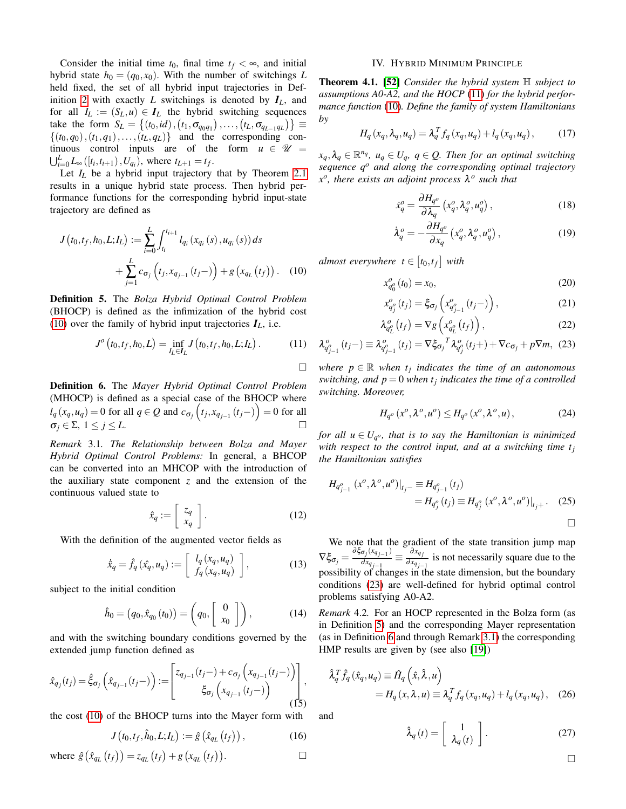Consider the initial time  $t_0$ , final time  $t_f < \infty$ , and initial hybrid state  $h_0 = (q_0, x_0)$ . With the number of switchings L held fixed, the set of all hybrid input trajectories in Def-inition [2](#page-2-1) with exactly  $L$  switchings is denoted by  $I_L$ , and for all  $I_L := (S_L, u) \in I_L$  the hybrid switching sequences take the form  $S_L = \{(t_0, id), (t_1, \sigma_{q_0q_1}), \dots, (t_L, \sigma_{q_{L-1}q_L})\} \equiv$  $\{(t_0, q_0), (t_1, q_1), \ldots, (t_L, q_L)\}$  and the corresponding continuous control inputs are of the form  $u \in \mathcal{U}$  =  $\bigcup_{i=0}^{L} L_{\infty}([t_i, t_{i+1}), U_{q_i}],$  where  $t_{L+1} = t_f$ .

Let  $I_L$  be a hybrid input trajectory that by Theorem [2.1](#page-2-2) results in a unique hybrid state process. Then hybrid performance functions for the corresponding hybrid input-state trajectory are defined as

$$
J(t_0, t_f, h_0, L; I_L) := \sum_{i=0}^{L} \int_{t_i}^{t_{i+1}} l_{q_i}(x_{q_i}(s), u_{q_i}(s)) ds
$$
  
+ 
$$
\sum_{j=1}^{L} c_{\sigma_j} (t_j, x_{q_{j-1}}(t_j -)) + g (x_{q_L}(t_f)). \quad (10)
$$

<span id="page-3-4"></span>Definition 5. The *Bolza Hybrid Optimal Control Problem* (BHOCP) is defined as the infimization of the hybrid cost [\(10\)](#page-3-1) over the family of hybrid input trajectories  $I_L$ , i.e.

<span id="page-3-2"></span>
$$
J^{o}(t_{0},t_{f},h_{0},L) = \inf_{I_{L} \in I_{L}} J(t_{0},t_{f},h_{0},L;I_{L}). \qquad (11)
$$

 $\Box$ 

<span id="page-3-5"></span>Definition 6. The *Mayer Hybrid Optimal Control Problem* (MHOCP) is defined as a special case of the BHOCP where  $l_q(x_q, u_q) = 0$  for all  $q \in Q$  and  $c_{\sigma_j}(t_j, x_{q_{j-1}}(t_j-)) = 0$  for all σ*<sup>j</sup>* ∈ Σ, 1 ≤ *j* ≤ *L*.

<span id="page-3-6"></span>*Remark* 3.1*. The Relationship between Bolza and Mayer Hybrid Optimal Control Problems:* In general, a BHCOP can be converted into an MHCOP with the introduction of the auxiliary state component *z* and the extension of the continuous valued state to

<span id="page-3-13"></span>
$$
\hat{x}_q := \left[ \begin{array}{c} z_q \\ x_q \end{array} \right].\tag{12}
$$

With the definition of the augmented vector fields as

$$
\dot{\hat{x}}_q = \hat{f}_q(\hat{x}_q, u_q) := \begin{bmatrix} l_q(x_q, u_q) \\ f_q(x_q, u_q) \end{bmatrix},
$$
\n(13)

subject to the initial condition

$$
\hat{h}_0 = (q_0, \hat{x}_{q_0}(t_0)) = \left(q_0, \left[\begin{array}{c} 0 \\ x_0 \end{array}\right]\right), \tag{14}
$$

and with the switching boundary conditions governed by the extended jump function defined as

<span id="page-3-14"></span>
$$
\hat{x}_{q_j}(t_j) = \hat{\xi}_{\sigma_j} \left( \hat{x}_{q_{j-1}}(t_j-) \right) := \begin{bmatrix} z_{q_{j-1}}(t_j-) + c_{\sigma_j} \left( x_{q_{j-1}}(t_j-) \right) \\ \xi_{\sigma_j} \left( x_{q_{j-1}}(t_j-) \right) \end{bmatrix},
$$
\n(15)

the cost [\(10\)](#page-3-1) of the BHOCP turns into the Mayer form with

$$
J(t_0, t_f, \hat{h}_0, L; I_L) := \hat{g}\left(\hat{x}_{q_L}\left(t_f\right)\right),\tag{16}
$$

where  $\hat{g}(\hat{x}_{q_L}(t_f)) = z_{q_L}(t_f) + g(x_{q_L}(t_f)).$ 

#### IV. HYBRID MINIMUM PRINCIPLE

<span id="page-3-7"></span><span id="page-3-0"></span>Theorem 4.1. [\[52\]](#page-14-11) *Consider the hybrid system* H *subject to assumptions A0-A2, and the HOCP* [\(11\)](#page-3-2) *for the hybrid performance function* [\(10\)](#page-3-1)*. Define the family of system Hamiltonians by*

$$
H_q(x_q, \lambda_q, u_q) = \lambda_q^T f_q(x_q, u_q) + l_q(x_q, u_q), \qquad (17)
$$

 $x_q, \lambda_q \in \mathbb{R}^{n_q}$ ,  $u_q \in U_q$ ,  $q \in Q$ . Then for an optimal switching *sequence q<sup>o</sup> and along the corresponding optimal trajectory x o , there exists an adjoint process* λ *o such that*

<span id="page-3-9"></span>
$$
\dot{x}_q^o = \frac{\partial H_{q^o}}{\partial \lambda_q} \left( x_q^o, \lambda_q^o, u_q^o \right),\tag{18}
$$

<span id="page-3-8"></span>
$$
\dot{\lambda}_q^o = -\frac{\partial H_{q^o}}{\partial x_q} \left( x_q^o, \lambda_q^o, u_q^o \right),\tag{19}
$$

<span id="page-3-1"></span>*almost everywhere*  $t \in [t_0, t_f]$  *with* 

$$
x_{q_0^o}^o(t_0) = x_0,
$$
\n(20)

<span id="page-3-12"></span><span id="page-3-3"></span>
$$
x_{q_j^o}^o(t_j) = \xi_{\sigma_j} \left( x_{q_{j-1}^o}^o(t_j - \right) \right),
$$
\n
$$
x_{q_j}^o(t_j) = \nabla g \left( x_{q_{j-1}^o}(t_j) \right)
$$
\n
$$
(21)
$$

$$
\lambda_{q_L^o}^o(t_f) = \nabla g\left(x_{q_L^o}^o(t_f)\right),\tag{22}
$$

$$
\lambda_{q_{j-1}^o}^o(t_j-) \equiv \lambda_{q_{j-1}^o}^o(t_j) = \nabla \xi_{\sigma_j}^T \lambda_{q_j^o}^o(t_j+) + \nabla c_{\sigma_j} + p \nabla m, \tag{23}
$$

 $where \, p \in \mathbb{R}$  when  $t_j$  indicates the time of an autonomous *switching, and p* = 0 *when t<sup>j</sup> indicates the time of a controlled switching. Moreover,*

<span id="page-3-11"></span><span id="page-3-10"></span>
$$
H_{q^o}(x^o, \lambda^o, u^o) \le H_{q^o}(x^o, \lambda^o, u), \qquad (24)
$$

*for all*  $u \in U_{q}$ <sup>*o*</sup>, that is to say the Hamiltonian is minimized *with respect to the control input, and at a switching time t<sup>j</sup> the Hamiltonian satisfies*

$$
H_{q_{j-1}^o}(x^o, \lambda^o, u^o)|_{t_j^-} \equiv H_{q_{j-1}^o}(t_j)
$$
  
=  $H_{q_j^o}(t_j) \equiv H_{q_j^o}(x^o, \lambda^o, u^o)|_{t_j^+}.$  (25)

We note that the gradient of the state transition jump map  $\nabla \xi_{\sigma_j} = \frac{\partial \xi_{\sigma_j}(x_{q_{j-1}})}{\partial x_{q_{j-1}}}$  $\frac{\sigma_j(x_{q_{j-1}})}{\partial x_{q_{j-1}}} \equiv \frac{\partial x_{q_j}}{\partial x_{q_{j-1}}}$  $\frac{\partial x_{q_j}}{\partial x_{q_{j-1}}}$  is not necessarily square due to the possibility of changes in the state dimension, but the boundary conditions [\(23\)](#page-3-3) are well-defined for hybrid optimal control problems satisfying A0-A2.

*Remark* 4.2*.* For an HOCP represented in the Bolza form (as in Definition [5\)](#page-3-4) and the corresponding Mayer representation (as in Definition [6](#page-3-5) and through Remark [3.1\)](#page-3-6) the corresponding HMP results are given by (see also [\[19\]](#page-13-23))

$$
\hat{\lambda}_q^T \hat{f}_q(\hat{x}_q, u_q) \equiv \hat{H}_q(\hat{x}, \hat{\lambda}, u) \n= H_q(x, \lambda, u) \equiv \lambda_q^T f_q(x_q, u_q) + l_q(x_q, u_q), \quad (26)
$$

and

$$
\hat{\lambda}_q(t) = \begin{bmatrix} 1 \\ \lambda_q(t) \end{bmatrix} . \tag{27}
$$

 $\Box$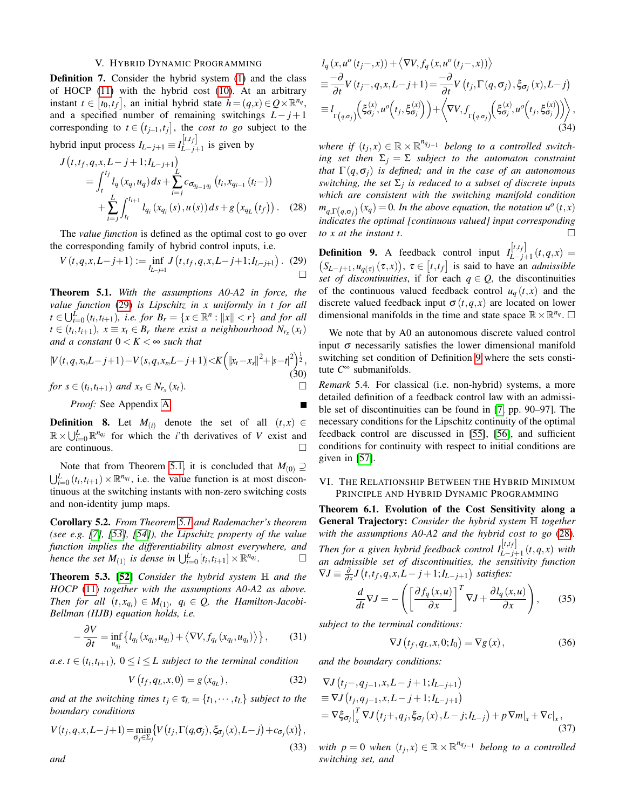#### V. HYBRID DYNAMIC PROGRAMMING

<span id="page-4-0"></span>Definition 7. Consider the hybrid system [\(1\)](#page-1-1) and the class of HOCP [\(11\)](#page-3-2) with the hybrid cost [\(10\)](#page-3-1). At an arbitrary instant  $t \in [t_0, t_f]$ , an initial hybrid state  $h = (q, x) \in Q \times \mathbb{R}^{n_q}$ , and a specified number of remaining switchings *L*− *j*+1 corresponding to  $t \in (t_{j-1}, t_j]$ , the *cost to go* subject to the hybrid input process  $I_{L-j+1} \equiv I_{L-j+1}^{[t,t_f]}$  $\prod_{L-j+1}^{L^*,r}$  is given by

$$
J(t, t_f, q, x, L - j + 1; I_{L-j+1})
$$
  
=  $\int_{t}^{t_j} l_q(x_q, u_q) ds + \sum_{i=j}^{L} c_{\sigma_{q_{i-1}q_i}}(t_i, x_{q_{i-1}}(t_i-))$   
+  $\sum_{i=j}^{L} \int_{t_i}^{t_{i+1}} l_{q_i}(x_{q_i}(s), u(s)) ds + g(x_{q_L}(t_f)).$  (28)

The *value function* is defined as the optimal cost to go over the corresponding family of hybrid control inputs, i.e.

<span id="page-4-2"></span>
$$
V(t,q,x,L-j+1) := \inf_{I_{L-j+1}} J(t,t_f,q,x,L-j+1;I_{L-j+1}). \tag{29}
$$

<span id="page-4-3"></span>Theorem 5.1. *With the assumptions A0-A2 in force, the value function* [\(29\)](#page-4-2) *is Lipschitz in x uniformly in t for all*  $t \in \bigcup_{i=0}^{L} (t_i, t_{i+1})$ *, i.e. for*  $B_r = \{x \in \mathbb{R}^n : ||x|| < r\}$  *and for all*  $t \in (t_i, t_{i+1})$ ,  $x \equiv x_t \in B_r$  there exist a neighbourhood  $N_{r_x}(x_t)$ *and a constant* 0 < *K* < ∞ *such that*

<span id="page-4-11"></span>
$$
|V(t,q,x_t,L-j+1)-V(s,q,x_s,L-j+1)|
$$

for 
$$
s \in (t_i, t_{i+1})
$$
 and  $x_s \in N_{r_x}(x_t)$ .

*Proof:* See Appendix [A.](#page-14-12)

**Definition 8.** Let  $M_{(i)}$  denote the set of all  $(t, x) \in$  $\mathbb{R} \times \bigcup_{i=0}^{L} \mathbb{R}^{n_{q_i}}$  for which the *i*'th derivatives of *V* exist and are continuous.

Note that from Theorem [5.1,](#page-4-3) it is concluded that  $M_{(0)} \supseteq M$  $\bigcup_{i=0}^{L} (t_i, t_{i+1}) \times \mathbb{R}^{n_{q_i}}$ , i.e. the value function is at most discontinuous at the switching instants with non-zero switching costs and non-identity jump maps.

Corollary 5.2. *From Theorem [5.1](#page-4-3) and Rademacher's theorem (see e.g. [\[7\]](#page-13-8), [\[53\]](#page-14-13), [\[54\]](#page-14-14)), the Lipschitz property of the value function implies the differentiability almost everywhere, and hence the set*  $M_{(1)}$  *is dense in*  $\bigcup_{i=0}^{L} [t_i, t_{i+1}] \times \mathbb{R}^{n_{q_i}}$ .

<span id="page-4-9"></span>Theorem 5.3. [\[52\]](#page-14-11) *Consider the hybrid system* H *and the HOCP* [\(11\)](#page-3-2) *together with the assumptions A0-A2 as above. Then for all*  $(t, x_{q_i}) \in M_{(1)}$ ,  $q_i \in Q$ , the Hamilton-Jacobi-*Bellman (HJB) equation holds, i.e.*

<span id="page-4-10"></span>
$$
-\frac{\partial V}{\partial t} = \inf_{u_{q_i}} \left\{ l_{q_i}(x_{q_i}, u_{q_i}) + \left\langle \nabla V, f_{q_i}(x_{q_i}, u_{q_i}) \right\rangle \right\},\qquad(31)
$$

 $a.e. t \in (t_i, t_{i+1}), 0 \le i \le L$  subject to the terminal condition

$$
V(t_f, q_L, x, 0) = g(x_{q_L}),
$$
\n(32)

*and at the switching times*  $t_j \in \tau_L = \{t_1, \dots, t_L\}$  *subject to the boundary conditions*

$$
V(t_j, q, x, L-j+1) = \min_{\sigma_j \in \Sigma_j} \{ V(t_j, \Gamma(q, \sigma_j), \xi_{\sigma_j}(x), L-j) + c_{\sigma_j}(x) \},\tag{33}
$$

$$
l_q(x, u^o(t_j-, x)) + \langle \nabla V, f_q(x, u^o(t_j-, x)) \rangle
$$
  
\n
$$
\equiv \frac{-\partial}{\partial t} V(t_j-, q, x, L-j+1) = \frac{-\partial}{\partial t} V(t_j, \Gamma(q, \sigma_j), \xi_{\sigma_j}(x), L-j)
$$
  
\n
$$
\equiv l_{\Gamma(q, \sigma_j)} (\xi_{\sigma_j}^{(x)}, u^o(t_j, \xi_{\sigma_j}^{(x)})) + \langle \nabla V, f_{\Gamma(q, \sigma_j)} (\xi_{\sigma_j}^{(x)}, u^o(t_j, \xi_{\sigma_j}^{(x)})) \rangle,
$$
\n(34)

*where if*  $(t_j, x) \in \mathbb{R} \times \mathbb{R}^{n_{q_{j-1}}}$  *belong to a controlled switching set then*  $\Sigma_i = \Sigma$  *subject to the automaton constraint that*  $\Gamma(q, \sigma_i)$  *is defined; and in the case of an autonomous switching, the set* Σ*<sup>j</sup> is reduced to a subset of discrete inputs which are consistent with the switching manifold condition*  $m_{q,\Gamma(q,\sigma_j)}(x_q) = 0$ . In the above equation, the notation  $u^o(t,x)$ *indicates the optimal [continuous valued] input corresponding to x at the instant t.*

<span id="page-4-5"></span><span id="page-4-4"></span>**Definition 9.** A feedback control input  $I_{L-i}^{[t,t_f]}$  $\int_{L-j+1}^{l^*,r_f} (t, q, x) =$  $(S_{L-j+1}, u_{q(\tau)}(\tau, x))$ ,  $\tau \in [t, t_f]$  is said to have an *admissible set of discontinuities*, if for each  $q \in Q$ , the discontinuities of the continuous valued feedback control  $u_q(t, x)$  and the discrete valued feedback input  $\sigma(t,q,x)$  are located on lower dimensional manifolds in the time and state space  $\mathbb{R} \times \mathbb{R}^{n_q}$ .  $\Box$ 

We note that by A0 an autonomous discrete valued control input  $\sigma$  necessarily satisfies the lower dimensional manifold switching set condition of Definition [9](#page-4-4) where the sets constitute *C* <sup>∞</sup> submanifolds.

*Remark* 5.4*.* For classical (i.e. non-hybrid) systems, a more detailed definition of a feedback control law with an admissible set of discontinuities can be found in [\[7,](#page-13-8) pp. 90–97]. The necessary conditions for the Lipschitz continuity of the optimal feedback control are discussed in [\[55\]](#page-14-15), [\[56\]](#page-14-16), and sufficient conditions for continuity with respect to initial conditions are given in [\[57\]](#page-14-17).

# <span id="page-4-1"></span>VI. THE RELATIONSHIP BETWEEN THE HYBRID MINIMUM PRINCIPLE AND HYBRID DYNAMIC PROGRAMMING

Theorem 6.1. Evolution of the Cost Sensitivity along a General Trajectory: *Consider the hybrid system* H *together with the assumptions A0-A2 and the hybrid cost to go* [\(28\)](#page-4-5)*. Then for a given hybrid feedback control*  $I_{L-j+1}^{[t,t_f]}(t,q,x)$  *with an admissible set of discontinuities, the sensitivity function*  $\nabla J \equiv \frac{\partial}{\partial x} J(t, t_f, q, x, L - j + 1; I_{L-j+1})$  satisfies:

<span id="page-4-6"></span>
$$
\frac{d}{dt}\nabla J = -\left(\left[\frac{\partial f_q(x, u)}{\partial x}\right]^T \nabla J + \frac{\partial l_q(x, u)}{\partial x}\right),\qquad(35)
$$

*subject to the terminal conditions:*

<span id="page-4-8"></span><span id="page-4-7"></span>
$$
\nabla J\left(t_f, q_L, x, 0; I_0\right) = \nabla g\left(x\right),\tag{36}
$$

*and the boundary conditions:*

$$
\nabla J(t_j-, q_{j-1}, x, L-j+1; I_{L-j+1})
$$
  
\n
$$
\equiv \nabla J(t_j, q_{j-1}, x, L-j+1; I_{L-j+1})
$$
  
\n
$$
= \nabla \xi_{\sigma_j} \Big|_x^T \nabla J(t_j+, q_j, \xi_{\sigma_j}(x), L-j; I_{L-j}) + p \nabla m \Big|_x + \nabla c \Big|_x,
$$
\n(37)

*with*  $p = 0$  *when*  $(t_j, x) \in \mathbb{R} \times \mathbb{R}^{n_{q_j-1}}$  *belong to a controlled switching set, and*

*and*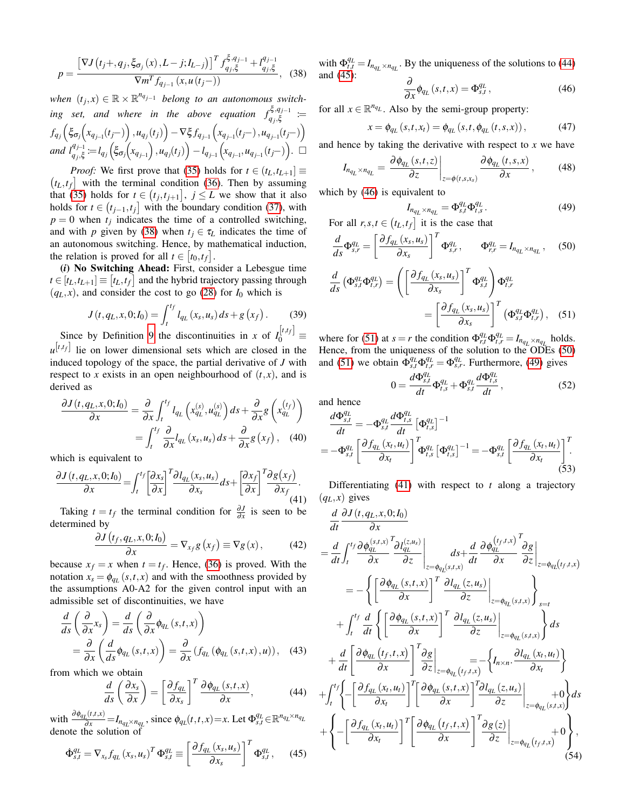<span id="page-5-0"></span>
$$
p = \frac{\left[\nabla J\left(t_j + , q_j, \xi_{\sigma_j}\left(x\right), L - j; I_{L-j}\right)\right]^T f_{q_j, \xi}^{\xi, q_{j-1}} + l_{q_j, \xi}^{q_{j-1}}}{\nabla m^T f_{q_{j-1}}\left(x, u\left(t_j - \right)\right)},
$$
 (38)

 $when (t_j, x) \in \mathbb{R} \times \mathbb{R}^{n_{q_{j-1}}}$  *belong to an autonomous switching set, and where in the above equation*  $f_{q_j,\xi}^{\xi,q_{j-1}} :=$  $f_{q_j}\Big(\xi_{\sigma_j}\Big(x_{q_{j-1}}(t_j-)\Big), u_{q_j}(t_j)\Big) - \nabla \xi f_{q_{j-1}}\Big(x_{q_{j-1}}(t_j-), u_{q_{j-1}}(t_j-)\Big)$ and  $l_{q_j,\xi}^{q_{j-1}} := l_{q_j} \left( \xi_{\sigma_j} (x_{q_{j-1}}), u_{q_j}(t_j) \right) - l_{q_{j-1}} \left( x_{q_{j-1}}, u_{q_{j-1}}(t_j-) \right)$ .

*Proof:* We first prove that [\(35\)](#page-4-6) holds for  $t \in (t_L, t_{L+1}] \equiv (t_L, t_f]$  with the terminal condition [\(36\)](#page-4-7). Then by assuming that [\(35\)](#page-4-6) holds for  $t \in (t_j, t_{j+1}], j \leq L$  we show that it also holds for  $t \in (t_{j-1}, t_j]$  with the boundary condition [\(37\)](#page-4-8), with  $p = 0$  when  $t_j$  indicates the time of a controlled switching, and with *p* given by [\(38\)](#page-5-0) when  $t_j \in \tau_L$  indicates the time of an autonomous switching. Hence, by mathematical induction, the relation is proved for all  $t \in [t_0, t_f]$ .

(*i*) No Switching Ahead: First, consider a Lebesgue time  $t \in [t_L, t_{L+1}] \equiv [t_L, t_f]$  and the hybrid trajectory passing through  $(q_L, x)$ , and consider the cost to go [\(28\)](#page-4-5) for  $I_0$  which is

$$
J(t, q_L, x, 0; I_0) = \int_t^{t_f} l_{q_L}(x_s, u_s) \, ds + g\left(x_f\right). \tag{39}
$$

Since by Definition [9](#page-4-4) the discontinuities in *x* of  $I_0^{[t,t_f]}$  $u^{[t,t_f]}$  lie on lower dimensional sets which are closed in the induced topology of the space, the partial derivative of *J* with respect to *x* exists in an open neighbourhood of  $(t, x)$ , and is derived as

$$
\frac{\partial J(t, q_L, x, 0; I_0)}{\partial x} = \frac{\partial}{\partial x} \int_t^{t_f} l_{q_L} \left( x_{q_L}^{(s)}, u_{q_L}^{(s)} \right) ds + \frac{\partial}{\partial x} g \left( x_{q_L}^{(t_f)} \right) \n= \int_t^{t_f} \frac{\partial}{\partial x} l_{q_L} (x_s, u_s) ds + \frac{\partial}{\partial x} g (x_f), \quad (40)
$$

which is equivalent to

<span id="page-5-7"></span>
$$
\frac{\partial J(t, q_L, x, 0; I_0)}{\partial x} = \int_t^{t_f} \left[ \frac{\partial x_s}{\partial x} \right]^T \frac{\partial l_{q_L}(x_s, u_s)}{\partial x_s} ds + \left[ \frac{\partial x_f}{\partial x} \right]^T \frac{\partial g(x_f)}{\partial x_f}.
$$
\n(41)

Taking  $t = t_f$  the terminal condition for  $\frac{\partial J}{\partial x}$  is seen to be determined by

$$
\frac{\partial J\left(t_f, q_L, x, 0; I_0\right)}{\partial x} = \nabla_{x_f} g\left(x_f\right) \equiv \nabla g\left(x\right),\tag{42}
$$

because  $x_f = x$  when  $t = t_f$ . Hence, [\(36\)](#page-4-7) is proved. With the notation  $x_s = \phi_{q_L}(s, t, x)$  and with the smoothness provided by the assumptions A0-A2 for the given control input with an admissible set of discontinuities, we have

$$
\frac{d}{ds}\left(\frac{\partial}{\partial x}x_s\right) = \frac{d}{ds}\left(\frac{\partial}{\partial x}\phi_{q_L}(s,t,x)\right)
$$
\n
$$
= \frac{\partial}{\partial x}\left(\frac{d}{ds}\phi_{q_L}(s,t,x)\right) = \frac{\partial}{\partial x}\left(f_{q_L}(\phi_{q_L}(s,t,x),u)\right), \quad (43)
$$

from which we obtain

<span id="page-5-1"></span>
$$
\frac{d}{ds}\left(\frac{\partial x_s}{\partial x}\right) = \left[\frac{\partial f_{q_L}}{\partial x_s}\right]^T \frac{\partial \phi_{q_L}(s,t,x)}{\partial x},\tag{44}
$$

with  $\frac{\partial \phi_{q_L}(t,t,x)}{\partial x} = I_{n_{q_L} \times n_{q_L}}$ , since  $\phi_{q_L}(t,t,x) = x$ . Let  $\Phi_{s,t}^{q_L} \in \mathbb{R}^{n_{q_L} \times n_{q_L}}$ denote the solution of

<span id="page-5-2"></span>
$$
\dot{\Phi}_{s,t}^{q_L} = \nabla_{x_s} f_{q_L}(x_s, u_s)^T \Phi_{s,t}^{q_L} \equiv \left[ \frac{\partial f_{q_L}(x_s, u_s)}{\partial x_s} \right]^T \Phi_{s,t}^{q_L}, \quad (45)
$$

with  $\Phi_{t,t}^{q_L} = I_{n_{q_L} \times n_{q_L}}$ . By the uniqueness of the solutions to [\(44\)](#page-5-1) and  $(45)$ :

<span id="page-5-3"></span>
$$
\frac{\partial}{\partial x}\phi_{q_L}(s,t,x) = \Phi_{s,t}^{q_L},\tag{46}
$$

for all  $x \in \mathbb{R}^{n_{q}}$ . Also by the semi-group property:

$$
x = \phi_{q_L}(s, t, x_t) = \phi_{q_L}(s, t, \phi_{q_L}(t, s, x)),
$$
 (47)

and hence by taking the derivative with respect to *x* we have

$$
I_{n_{q_L} \times n_{q_L}} = \left. \frac{\partial \phi_{q_L}(s, t, z)}{\partial z} \right|_{z = \phi(t, s, x_s)} \frac{\partial \phi_{q_L}(t, s, x)}{\partial x}, \tag{48}
$$

which by [\(46\)](#page-5-3) is equivalent to

<span id="page-5-6"></span>
$$
I_{n_{q_L} \times n_{q_L}} = \Phi_{s,t}^{q_L} \Phi_{t,s}^{q_L}.
$$
 (49)

For all  $r, s, t \in (t_L, t_f]$  it is the case that

<span id="page-5-5"></span>
$$
\frac{d}{ds}\Phi_{s,r}^{q_L} = \left[\frac{\partial f_{q_L}(x_s, u_s)}{\partial x_s}\right]^T \Phi_{s,r}^{q_L}, \qquad \Phi_{r,r}^{q_L} = I_{n_{q_L} \times n_{q_L}}, \quad (50)
$$

$$
\frac{d}{ds} \left( \Phi_{s,t}^{q} \Phi_{t,r}^{q} \right) = \left( \left[ \frac{\partial f_{q_L}(x_s, u_s)}{\partial x_s} \right]^T \Phi_{s,t}^{q_L} \right) \Phi_{t,r}^{q_L}
$$
\n
$$
= \left[ \frac{\partial f_{q_L}(x_s, u_s)}{\partial x_s} \right]^T \left( \Phi_{s,t}^{q} \Phi_{t,r}^{q_L} \right), \quad (51)
$$

where for [\(51\)](#page-5-4) at  $s = r$  the condition  $\Phi_{r,t}^{q_L} \Phi_{t,r}^{q_L} = I_{n_{q_L} \times n_{q_L}}$  holds. Hence, from the uniqueness of the solution to the ODEs [\(50\)](#page-5-5) and [\(51\)](#page-5-4) we obtain  $\Phi_{s,t}^{q} \Phi_{t,r}^{q} = \Phi_{s,r}^{q}$ . Furthermore, [\(49\)](#page-5-6) gives

<span id="page-5-4"></span>
$$
0 = \frac{d\Phi_{s,t}^{q_L}}{dt} \Phi_{t,s}^{q_L} + \Phi_{s,t}^{q_L} \frac{d\Phi_{t,s}^{q_L}}{dt},
$$
\n(52)

and hence

$$
\frac{d\Phi_{s,t}^{q_L}}{dt} = -\Phi_{s,t}^{q_L} \frac{d\Phi_{t,s}^{q_L}}{dt} \left[\Phi_{t,s}^{q_L}\right]^{-1}
$$
\n
$$
= -\Phi_{s,t}^{q_L} \left[\frac{\partial f_{q_L}(x_t, u_t)}{\partial x_t}\right]^T \Phi_{t,s}^{q_L} \left[\Phi_{t,s}^{q_L}\right]^{-1} = -\Phi_{s,t}^{q_L} \left[\frac{\partial f_{q_L}(x_t, u_t)}{\partial x_t}\right]^T.
$$
\n(53)

Differentiating [\(41\)](#page-5-7) with respect to *t* along a trajectory  $(q_L, x)$  gives

$$
\frac{d}{dt} \frac{\partial J(t, q_L, x, 0; I_0)}{\partial x}
$$
\n
$$
= \frac{d}{dt} \int_t^{t_f} \frac{\partial \phi_{q_L}^{(s,t,x)} }{\partial x} \frac{\partial l_{q_L}^{(z,u_s)}}{\partial z} \Big|_{z = \phi_{q_L}(s,t,x)} ds + \frac{d}{dt} \frac{\partial \phi_{q_L}^{(t_f,x)} }{\partial x} \frac{\partial g}{\partial z} \Big|_{z = \phi_{q_L}(t_f,t,x)}
$$
\n
$$
= -\left\{ \left[ \frac{\partial \phi_{q_L}(s,t,x)}{\partial x} \right]^T \frac{\partial l_{q_L}(z,u_s)}{\partial z} \Big|_{z = \phi_{q_L}(s,t,x)} \right\}_{s=t} + \int_t^{t_f} \frac{d}{dt} \left\{ \left[ \frac{\partial \phi_{q_L}(s,t,x)}{\partial x} \right]^T \frac{\partial l_{q_L}(z,u_s)}{\partial z} \Big|_{z = \phi_{q_L}(s,t,x)} \right\} ds + \frac{d}{dt} \left[ \frac{\partial \phi_{q_L}(t_f,t,x)}{\partial x} \right]^T \frac{\partial g}{\partial z} \Big|_{z = \phi_{q_L}(t_f,t,x)} = -\left\{ I_{n \times n} \cdot \frac{\partial l_{q_L}(x_t,u_t)}{\partial x_t} \right\}
$$
\n
$$
+ \int_t^{t_f} \left\{ -\left[ \frac{\partial f_{q_L}(x_t,u_t)}{\partial x_t} \right]^T \left[ \frac{\partial \phi_{q_L}(s,t,x)}{\partial x} \right]^T \frac{\partial l_{q_L}(z,u_s)}{\partial z} \Big|_{z = \phi_{q_L}(s,t,x)} + 0 \right\} ds
$$
\n
$$
+ \left\{ -\left[ \frac{\partial f_{q_L}(x_t,u_t)}{\partial x_t} \right]^T \left[ \frac{\partial \phi_{q_L}(t_f,t,x)}{\partial x} \right]^T \frac{\partial g(z)}{\partial z} \Big|_{z = \phi_{q_L}(t_f,t,x)} + 0 \right\}, \tag{54}
$$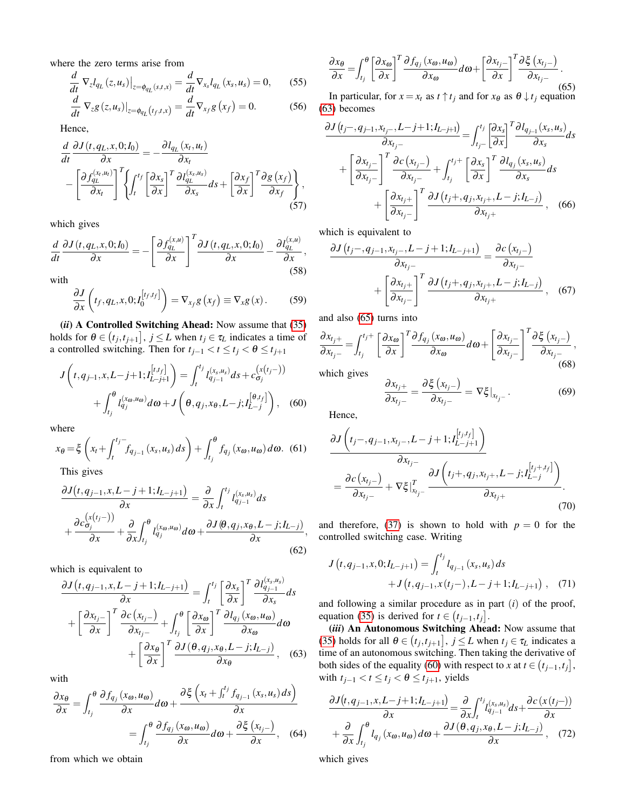where the zero terms arise from

$$
\frac{d}{dt}\nabla_z l_{q_L}(z, u_s)\Big|_{z=\phi_{q_L}(s, t, x)} = \frac{d}{dt}\nabla_{x_s} l_{q_L}(x_s, u_s) = 0,\qquad(55)
$$

$$
\frac{d}{dt}\nabla_z g(z, u_s)\big|_{z=\phi_{q_L}(t_f, t, x)} = \frac{d}{dt}\nabla_{x_f} g(x_f) = 0.
$$
 (56)

Hence,

$$
\frac{d}{dt} \frac{\partial J(t, q_L, x, 0; I_0)}{\partial x} = -\frac{\partial l_{q_L}(x_t, u_t)}{\partial x_t} \n- \left[ \frac{\partial f_{q_L}^{(x_t, u_t)}}{\partial x_t} \right]^T \left\{ \int_t^{t_f} \left[ \frac{\partial x_s}{\partial x} \right]^T \frac{\partial l_{q_L}^{(x_s, u_s)}}{\partial x_s} ds + \left[ \frac{\partial x_f}{\partial x} \right]^T \frac{\partial g(x_f)}{\partial x_f} \right\},
$$
\n(57)

which gives

$$
\frac{d}{dt}\frac{\partial J(t,q_L,x,0;I_0)}{\partial x} = -\left[\frac{\partial f_{q_L}^{(x,u)}}{\partial x}\right]^T \frac{\partial J(t,q_L,x,0;I_0)}{\partial x} - \frac{\partial l_{q_L}^{(x,u)}}{\partial x},\tag{58}
$$

with

$$
\frac{\partial J}{\partial x}\left(t_f, q_L, x, 0; I_0^{[t_f, t_f]}\right) = \nabla_{x_f} g\left(x_f\right) \equiv \nabla_x g\left(x\right). \tag{59}
$$

(*ii*) A Controlled Switching Ahead: Now assume that [\(35\)](#page-4-6) holds for  $\theta \in (t_j, t_{j+1}], j \leq L$  when  $t_j \in \tau_L$  indicates a time of a controlled switching. Then for  $t_{i-1} < t \leq t_i < \theta \leq t_{i+1}$ 

$$
J\left(t, q_{j-1}, x, L-j+1; I_{L-j+1}^{\left[t, t_{f}\right]} \right) = \int_{t}^{t_{j}} I_{q_{j-1}}^{(x_{s}, u_{s})} ds + c_{\sigma_{j}}^{(x(t_{j}-))} + \int_{t_{j}}^{\theta} I_{q_{j}}^{(x_{\omega}, u_{\omega})} d\omega + J\left(\theta, q_{j}, x_{\theta}, L-j; I_{L-j}^{\left[\theta, t_{f}\right]} \right), \quad (60)
$$

where

<span id="page-6-3"></span>
$$
x_{\theta} = \xi \left( x_t + \int_t^{t_j^-} f_{q_{j-1}}(x_s, u_s) \, ds \right) + \int_{t_j}^{\theta} f_{q_j}(x_{\omega}, u_{\omega}) \, d\omega. \tag{61}
$$

This gives

$$
\frac{\partial J(t, q_{j-1}, x, L-j+1; I_{L-j+1})}{\partial x} = \frac{\partial}{\partial x} \int_{t}^{t_j} l_{q_{j-1}}^{(x_s, u_s)} ds \n+ \frac{\partial c_{\sigma_j}^{(x(t_j-))}}{\partial x} + \frac{\partial}{\partial x} \int_{t_j}^{\theta} l_{q_j}^{(x_\omega, u_\omega)} d\omega + \frac{\partial J(\theta, q_j, x_\theta, L-j; I_{L-j})}{\partial x},
$$
\n(62)

which is equivalent to

$$
\frac{\partial J\left(t, q_{j-1}, x, L-j+1; I_{L-j+1}\right)}{\partial x} = \int_{t}^{t_{j}} \left[\frac{\partial x_{s}}{\partial x}\right]^{T} \frac{\partial l_{q_{j-1}}^{(x_{s}, u_{s})}}{\partial x_{s}} ds \n+ \left[\frac{\partial x_{t_{j}}}{\partial x}\right]^{T} \frac{\partial c\left(x_{t_{j}}\right)}{\partial x_{t_{j}}}\n+ \int_{t_{j}}^{\theta} \left[\frac{\partial x_{\omega}}{\partial x}\right]^{T} \frac{\partial l_{q_{j}}\left(x_{\omega}, u_{\omega}\right)}{\partial x_{\omega}} d\omega \n+ \left[\frac{\partial x_{\theta}}{\partial x}\right]^{T} \frac{\partial J\left(\theta, q_{j}, x_{\theta}, L-j; I_{L-j}\right)}{\partial x_{\theta}}, \quad (63)
$$

with

$$
\frac{\partial x_{\theta}}{\partial x} = \int_{t_j}^{\theta} \frac{\partial f_{q_j}(x_{\omega}, u_{\omega})}{\partial x} d\omega + \frac{\partial \xi \left(x_t + \int_t^{t_j} f_{q_{j-1}}(x_s, u_s) ds\right)}{\partial x} \n= \int_{t_j}^{\theta} \frac{\partial f_{q_j}(x_{\omega}, u_{\omega})}{\partial x} d\omega + \frac{\partial \xi (x_{t_j-})}{\partial x}, \quad (64)
$$

from which we obtain

<span id="page-6-1"></span>
$$
\frac{\partial x_{\theta}}{\partial x} = \int_{t_j}^{\theta} \left[ \frac{\partial x_{\omega}}{\partial x} \right]^T \frac{\partial f_{q_j}(x_{\omega}, u_{\omega})}{\partial x_{\omega}} d\omega + \left[ \frac{\partial x_{t_j-}}{\partial x} \right]^T \frac{\partial \xi (x_{t_j-})}{\partial x_{t_j-}}.
$$
\n(65)

In particular, for  $x = x_t$  as  $t \uparrow t_j$  and for  $x_\theta$  as  $\theta \downarrow t_j$  equation [\(63\)](#page-6-0) becomes

$$
\frac{\partial J\left(t_{j-},q_{j-1},x_{t_{j-}},L-j+1;I_{L-j+1}\right)}{\partial x_{t_{j-}}} = \int_{t_{j-}}^{t_{j}} \left[\frac{\partial x_{s}}{\partial x}\right]^{T} \frac{\partial l_{q_{j-1}}(x_{s},u_{s})}{\partial x_{s}} ds \n+ \left[\frac{\partial x_{t_{j-}}}{\partial x_{t_{j-}}}\right]^{T} \frac{\partial c\left(x_{t_{j-}}\right)}{\partial x_{t_{j-}}} + \int_{t_{j}}^{t_{j+}} \left[\frac{\partial x_{s}}{\partial x}\right]^{T} \frac{\partial l_{q_{j}}(x_{s},u_{s})}{\partial x_{s}} ds \n+ \left[\frac{\partial x_{t_{j+}}}{\partial x_{t_{j-}}}\right]^{T} \frac{\partial J\left(t_{j+},q_{j},x_{t_{j+}},L-j;I_{L-j}\right)}{\partial x_{t_{j+}}}, \quad (66)
$$

which is equivalent to

$$
\frac{\partial J(t_j-,q_{j-1},x_{t_j-},L-j+1;I_{L-j+1})}{\partial x_{t_j-}} = \frac{\partial c(x_{t_j-})}{\partial x_{t_j-}} + \left[\frac{\partial x_{t_j+}}{\partial x_{t_j-}}\right]^T \frac{\partial J(t_j+,q_j,x_{t_j+},L-j;I_{L-j})}{\partial x_{t_j+}},\quad(67)
$$

and also [\(65\)](#page-6-1) turns into

$$
\frac{\partial x_{t_{j+}}}{\partial x_{t_{j-}}} = \int_{t_j}^{t_j+} \left[ \frac{\partial x_{\omega}}{\partial x} \right]^T \frac{\partial f_{q_j}(x_{\omega}, u_{\omega})}{\partial x_{\omega}} d\omega + \left[ \frac{\partial x_{t_j-}}{\partial x_{t_j-}} \right]^T \frac{\partial \xi(x_{t_j-})}{\partial x_{t_j-}},
$$
\nwhich gives\n(68)

 $\sim$   $\sim$   $\sqrt{2}$ 

<span id="page-6-2"></span>which gives

$$
\frac{\partial x_{t_{j+}}}{\partial x_{t_{j-}}} = \frac{\partial \xi(x_{t_{j-}})}{\partial x_{t_{j-}}} = \nabla \xi|_{x_{t_{j-}}}.
$$
\n(69)

Hence,

$$
\frac{\partial J\left(t_{j}, q_{j-1}, x_{t_{j}}, L-j+1; I_{L-j+1}^{[t_{j}, t_{f}]} \right)}{\partial x_{t_{j}}} = \frac{\partial c\left(x_{t_{j}}-x_{t_{j}}+1\right)}{\partial x_{t_{j}} + \nabla \xi|_{x_{t_{j}}}^{T}} \frac{\partial J\left(t_{j}+q_{j}, x_{t_{j}+}, L-j; I_{L-j}^{[t_{j}+t_{f}]} \right)}{\partial x_{t_{j}+}}.
$$
\n(70)

and therefore,  $(37)$  is shown to hold with  $p = 0$  for the controlled switching case. Writing

<span id="page-6-4"></span>
$$
J(t,q_{j-1},x,0;I_{L-j+1}) = \int_{t}^{t_j} l_{q_{j-1}}(x_s,u_s) ds
$$
  
+  $J(t,q_{j-1},x(t_j-),L-j+1;I_{L-j+1})$ , (71)

and following a similar procedure as in part (*i*) of the proof, equation [\(35\)](#page-4-6) is derived for  $t \in (t_{j-1}, t_j]$ .

<span id="page-6-0"></span>(*iii*) An Autonomous Switching Ahead: Now assume that [\(35\)](#page-4-6) holds for all  $\theta \in (t_j, t_{j+1}], j \leq L$  when  $t_j \in \tau_L$  indicates a time of an autonomous switching. Then taking the derivative of both sides of the equality [\(60\)](#page-6-2) with respect to *x* at  $t \in (t_{j-1}, t_j]$ , with  $t_{j-1}$  <  $t \le t_j$  <  $\theta$  ≤  $t_{j+1}$ , yields

$$
\frac{\partial J(t, q_{j-1}, x, L-j+1; I_{L-j+1})}{\partial x} = \frac{\partial}{\partial x} \int_t^{t_j} l_{q_{j-1}}^{(x_s, u_s)} ds + \frac{\partial c(x(t_j-))}{\partial x} + \frac{\partial}{\partial x} \int_{t_j}^{\theta} l_{q_j}(x_{\omega}, u_{\omega}) d\omega + \frac{\partial J(\theta, q_j, x_{\theta}, L-j; I_{L-j})}{\partial x}, \quad (72)
$$

which gives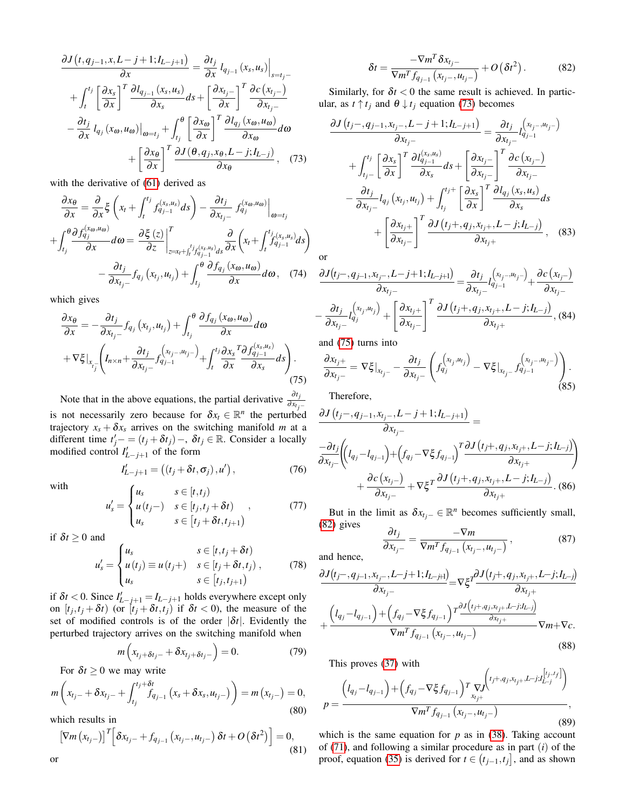$$
\frac{\partial J(t, q_{j-1}, x, L-j+1; I_{L-j+1})}{\partial x} = \frac{\partial t_j}{\partial x} l_{q_{j-1}}(x_s, u_s) \Big|_{s=t_j-} \n+ \int_t^{t_j} \left[ \frac{\partial x_s}{\partial x} \right]^T \frac{\partial l_{q_{j-1}}(x_s, u_s)}{\partial x_s} ds + \left[ \frac{\partial x_{t_j-}}{\partial x} \right]^T \frac{\partial c(x_{t_j-})}{\partial x_{t_j-}} \n- \frac{\partial t_j}{\partial x} l_{q_j}(x_{\omega}, u_{\omega}) \Big|_{\omega=t_j} + \int_{t_j}^{\theta} \left[ \frac{\partial x_{\omega}}{\partial x} \right]^T \frac{\partial l_{q_j}(x_{\omega}, u_{\omega})}{\partial x_{\omega}} d\omega \n+ \left[ \frac{\partial x_{\theta}}{\partial x} \right]^T \frac{\partial J(\theta, q_j, x_{\theta}, L-j; I_{L-j})}{\partial x_{\theta}}, \quad (73)
$$

with the derivative of  $(61)$  derived as

$$
\frac{\partial x_{\theta}}{\partial x} = \frac{\partial}{\partial x} \xi \left( x_t + \int_t^{t_j} f_{q_{j-1}}^{(x_s, u_s)} ds \right) - \frac{\partial t_j}{\partial x_{t_j}} f_{q_j}^{(x_{\omega}, u_{\omega})} \Big|_{\omega = t_j}
$$

$$
+ \int_{t_j}^{\theta} \frac{\partial f_{q_j}^{(x_{\omega}, u_{\omega})}}{\partial x} d\omega = \frac{\partial \xi(z)}{\partial z} \Big|_{z = x_t + \int_t^{t_j} f_{q_{j-1}}^{(x_s, u_s)} ds}^T \frac{\partial}{\partial x} \left( x_t + \int_t^{t_j} f_{q_{j-1}}^{(x_s, u_s)} ds \right)
$$

$$
- \frac{\partial t_j}{\partial x_{t_j}} f_{q_j} \left( x_{t_j}, u_{t_j} \right) + \int_{t_j}^{\theta} \frac{\partial f_{q_j} \left( x_{\omega}, u_{\omega} \right)}{\partial x} d\omega, \quad (74)
$$

which gives

$$
\frac{\partial x_{\theta}}{\partial x} = -\frac{\partial t_j}{\partial x_{t_j}} f_{q_j} (x_{t_j}, u_{t_j}) + \int_{t_j}^{\theta} \frac{\partial f_{q_j} (x_{\omega}, u_{\omega})}{\partial x} d\omega \n+ \nabla \xi \big|_{x_{t_j}^-} \bigg( I_{n \times n} + \frac{\partial t_j}{\partial x_{t_j}^-} f_{q_{j-1}}^{(x_{t_j}^-, u_{t_j}^-)} + \int_{t}^{t_j} \frac{\partial x_s}{\partial x}^T \frac{\partial f_{q_{j-1}}^{(x_s, u_s)}}{\partial x_s} ds \bigg) . \tag{75}
$$

Note that in the above equations, the partial derivative  $\frac{\partial t_j}{\partial x_{j-}}$ is not necessarily zero because for  $\delta x_t \in \mathbb{R}^n$  the perturbed trajectory  $x_s + \delta x_s$  arrives on the switching manifold *m* at a different time  $t'_j$ − =  $(t_j + \delta t_j)$  −,  $\delta t_j$  ∈ R. Consider a locally modified control  $I'_{L-j+1}$  of the form

 $\epsilon$ 

$$
I'_{L-j+1} = ((t_j + \delta t, \sigma_j), u'), \qquad (76)
$$

with

$$
u'_{s} = \begin{cases} u_{s} & s \in [t, t_{j}) \\ u(t_{j}-) & s \in [t_{j}, t_{j} + \delta t) \\ u_{s} & s \in [t_{j} + \delta t, t_{j+1}) \end{cases}
$$
 (77)

if  $\delta t \geq 0$  and

$$
u'_{s} = \begin{cases} u_{s} & s \in [t, t_{j} + \delta t) \\ u(t_{j}) \equiv u(t_{j} +) & s \in [t_{j} + \delta t, t_{j}) \\ u_{s} & s \in [t_{j}, t_{j+1}) \end{cases}
$$
(78)

if  $\delta t$  < 0. Since  $I'_{L-j+1} = I_{L-j+1}$  holds everywhere except only on  $[t_j, t_j + \delta t)$  (or  $[t_j + \delta t, t_j)$  if  $\delta t < 0$ ), the measure of the set of modified controls is of the order  $|\delta t|$ . Evidently the perturbed trajectory arrives on the switching manifold when

$$
m\left(x_{t_j+\delta t_j-}+\delta x_{t_j+\delta t_j-}\right)=0.\tag{79}
$$

For  $\delta t \geq 0$  we may write

$$
m\left(x_{t_{j}-} + \delta x_{t_{j}-} + \int_{t_{j}}^{t_{j}+\delta t} f_{q_{j-1}}\left(x_{s} + \delta x_{s}, u_{t_{j}-}\right)\right) = m\left(x_{t_{j}-}\right) = 0,
$$
\n(80)

which results in

$$
\left[\nabla m\left(x_{t_j-}\right)\right]^T \left[\delta x_{t_j-} + f_{q_{j-1}}\left(x_{t_j-}, u_{t_j-}\right) \delta t + O\left(\delta t^2\right)\right] = 0, \tag{81}
$$

<span id="page-7-2"></span>
$$
\delta t = \frac{-\nabla m^T \delta x_{t_j-}}{\nabla m^T f_{q_{j-1}}(x_{t_j-}, u_{t_j-})} + O(\delta t^2).
$$
 (82)

Similarly, for  $\delta t < 0$  the same result is achieved. In particular, as  $t \uparrow t_j$  and  $\theta \downarrow t_j$  equation [\(73\)](#page-7-0) becomes

<span id="page-7-0"></span>
$$
\frac{\partial J\left(t_{j}-,q_{j-1},x_{t_{j-}},L-j+1;I_{L-j+1}\right)}{\partial x_{t_{j-}}} = \frac{\partial t_{j}}{\partial x_{t_{j-}}}\left\{I_{q_{j-1}}^{(x_{t_{j-}},u_{t_{j-}})}\right\}
$$
\n
$$
+ \int_{t_{j-}}^{t_{j}} \left[\frac{\partial x_{s}}{\partial x}\right]^{T} \frac{\partial l_{q_{j-1}}^{(x_{s},u_{s})}}{\partial x_{s}} ds + \left[\frac{\partial x_{t_{j-}}}{\partial x_{t_{j-}}}\right]^{T} \frac{\partial c\left(x_{t_{j-}}\right)}{\partial x_{t_{j-}}}
$$
\n
$$
- \frac{\partial t_{j}}{\partial x_{t_{j-}}}\left\{I_{q_{j}}\left(x_{t_{j}},u_{t_{j}}\right) + \int_{t_{j}}^{t_{j+}} \left[\frac{\partial x_{s}}{\partial x}\right]^{T} \frac{\partial l_{q_{j}}\left(x_{s},u_{s}\right)}{\partial x_{s}} ds + \left[\frac{\partial x_{t_{j+}}}{\partial x_{t_{j-}}}\right]^{T} \frac{\partial J\left(t_{j+},q_{j},x_{t_{j+}},L-j;I_{L-j}\right)}{\partial x_{t_{j+}}}, \quad (83)
$$

or

$$
\frac{\partial J(t_{j-}, q_{j-1}, x_{t_{j-}}, L-j+1; I_{L-j+1})}{\partial x_{t_{j-}}} = \frac{\partial t_{j}}{\partial x_{t_{j-}} l_{q_{j-1}}^{(x_{t_{j-}}, u_{t_{j-}})} + \frac{\partial c(x_{t_{j-}})}{\partial x_{t_{j-}}}
$$

$$
-\frac{\partial t_{j}}{\partial x_{t_{j-}} l_{q_{j}}^{(x_{t_{j}}, u_{t_{j}})} + \left[\frac{\partial x_{t_{j+}}}{\partial x_{t_{j-}}}\right]^{T} \frac{\partial J(t_{j+}, q_{j}, x_{t_{j+}}, L-j; I_{L-j})}{\partial x_{t_{j+}}}, (84)
$$

and [\(75\)](#page-7-1) turns into

<span id="page-7-1"></span>
$$
\frac{\partial x_{t_j+}}{\partial x_{t_j-}} = \nabla \xi \big|_{x_{t_j-}} - \frac{\partial t_j}{\partial x_{t_j-}} \left( f_{q_j}^{(x_{t_j}, u_{t_j})} - \nabla \xi \big|_{x_{t_j-}} f_{q_{j-1}}^{(x_{t_j-}, u_{t_j-})} \right).
$$
\n(85)

Therefore,

$$
\frac{\partial J(t_j-,q_{j-1},x_{t_j-},L-j+1;I_{L-j+1})}{\partial x_{t_j-}} =
$$
\n
$$
\frac{-\partial t_j}{\partial x_{t_j-}} \Biggl( \Biggl( l_{q_j} - l_{q_{j-1}} \Biggr) + \Biggl( f_{q_j} - \nabla \xi f_{q_{j-1}} \Biggr)^T \frac{\partial J(t_j, x_{t_j+}, L-j; I_{L-j})}{\partial x_{t_j+}} \Biggr) + \frac{\partial c(x_{t_j-})}{\partial x_{t_j-}} + \nabla \xi^T \frac{\partial J(t_j, x_{t_j+}, L-j; I_{L-j})}{\partial x_{t_j+}} . \tag{86}
$$

But in the limit as  $\delta x_{t_j-} \in \mathbb{R}^n$  becomes sufficiently small, [\(82\)](#page-7-2) gives <sup>∂</sup>*t<sup>j</sup>*

$$
\frac{\partial t_j}{\partial x_{t_j-}} = \frac{-\nabla m}{\nabla m^T f_{q_{j-1}}(x_{t_j-}, u_{t_j-})},
$$
(87)

and hence,

$$
\frac{\partial J(t_j-, q_{j-1}, x_{t_j-}, L-j+1; I_{L-j+1})}{\partial x_{t_j-}} = \nabla \xi^T \frac{\partial J(t_j+, q_j, x_{t_j+}, L-j; I_{L-j})}{\partial x_{t_j+}} + \frac{\left(l_{q_j} - l_{q_{j-1}}\right) + \left(f_{q_j} - \nabla \xi f_{q_{j-1}}\right)^T \frac{\partial J(t_j+, q_j, x_{t_j+}, L-j; I_{L-j})}{\partial x_{t_j+}}}{\nabla m^T f_{q_{j-1}}(x_{t_j-}, u_{t_j-})} \nabla m + \nabla c.
$$
\n(88)

This proves [\(37\)](#page-4-8) with

$$
p = \frac{\left(l_{q_j} - l_{q_{j-1}}\right) + \left(f_{q_j} - \nabla \xi f_{q_{j-1}}\right) T \nabla J \left(t_j + t_{q_j, x_{t_{j+1}}, L-j, I} \left[t_j, t_{t_{j}}\right]\right)}{\nabla m^T f_{q_{j-1}}\left(x_{t_j}, u_{t_j}\right)},
$$
\n(89)

which is the same equation for  $p$  as in [\(38\)](#page-5-0). Taking account of [\(71\)](#page-6-4), and following a similar procedure as in part (*i*) of the proof, equation [\(35\)](#page-4-6) is derived for  $t \in (t_{j-1}, t_j]$ , and as shown

or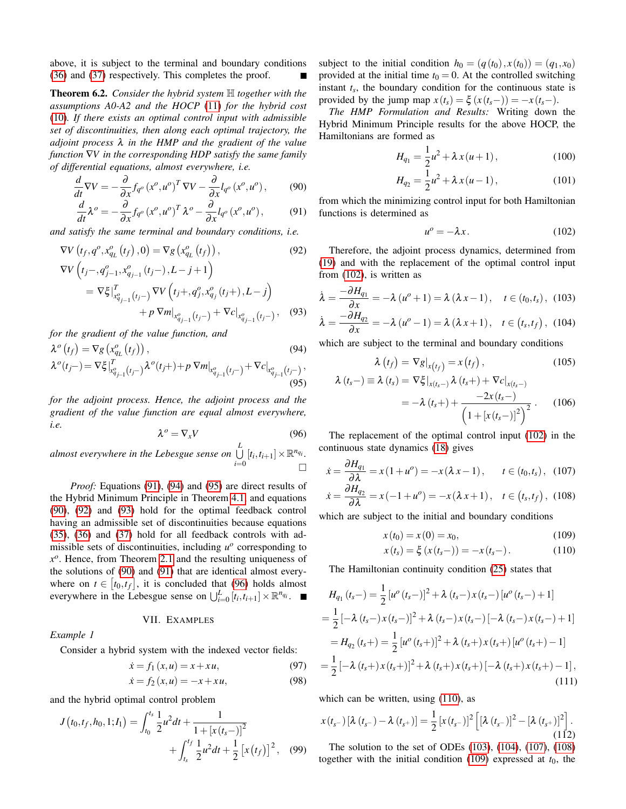above, it is subject to the terminal and boundary conditions [\(36\)](#page-4-7) and [\(37\)](#page-4-8) respectively. This completes the proof.

<span id="page-8-18"></span>Theorem 6.2. *Consider the hybrid system* H *together with the assumptions A0-A2 and the HOCP* [\(11\)](#page-3-2) *for the hybrid cost* [\(10\)](#page-3-1)*. If there exists an optimal control input with admissible set of discontinuities, then along each optimal trajectory, the adjoint process* λ *in the HMP and the gradient of the value function* ∇*V in the corresponding HDP satisfy the same family of differential equations, almost everywhere, i.e.*

$$
\frac{d}{dt}\nabla V = -\frac{\partial}{\partial x}f_{q^o}(x^o, u^o)^T \nabla V - \frac{\partial}{\partial x}l_{q^o}(x^o, u^o),\tag{90}
$$

$$
\frac{d}{dt}\lambda^o = -\frac{\partial}{\partial x}f_{q^o}(x^o, u^o)^T \lambda^o - \frac{\partial}{\partial x}l_{q^o}(x^o, u^o),\tag{91}
$$

*and satisfy the same terminal and boundary conditions, i.e.*

$$
\nabla V(t_f, q^o, x^o_{q_L}(t_f), 0) = \nabla g(x^o_{q_L}(t_f)),
$$
\n
$$
\nabla V(t_j-, q^o_{j-1}, x^o_{q_{j-1}}(t_j-), L-j+1)
$$
\n(92)

$$
\begin{split} \nabla \nabla \left( t_j - q_{j-1}, x_{q_{j-1}}(t_j -), L - J + 1 \right) \\ \n&= \nabla \xi \big|_{x_{q_{j-1}}^o(t_j -)}^T \nabla V \left( t_j +, q_j^o, x_{q_j}^o(t_j +), L - j \right) \\ \n&+ p \nabla m \big|_{x_{q_{j-1}}^o(t_j -)} + \nabla c \big|_{x_{q_{j-1}}^o(t_j -)}, \quad (93) \n\end{split}
$$

*for the gradient of the value function, and*

$$
\lambda^{o}(t_{f}) = \nabla g(x_{q_{L}}^{o}(t_{f})),
$$
\n
$$
\lambda^{o}(t_{j}-) = \nabla \xi|_{x_{q_{j-1}}^{p}(t_{j}-)}^{\mathcal{P}} \lambda^{o}(t_{j}+)+p \nabla m|_{x_{q_{j-1}}^{o}(t_{j}-)} + \nabla c|_{x_{q_{j-1}}^{o}(t_{j}-)},
$$
\n(94)

*for the adjoint process. Hence, the adjoint process and the gradient of the value function are equal almost everywhere, i.e.*

<span id="page-8-7"></span>
$$
\lambda^o = \nabla_x V \tag{96}
$$

almost everywhere in the Lebesgue sense on  $\stackrel{L}{\cup}$  $\overline{\bigcup_{i=0}^{n} [t_i, t_{i+1}] \times \mathbb{R}^{n_{q_i}}.}$  $\Box$ 

*Proof:* Equations [\(91\)](#page-8-1), [\(94\)](#page-8-2) and [\(95\)](#page-8-3) are direct results of the Hybrid Minimum Principle in Theorem [4.1,](#page-3-7) and equations [\(90\)](#page-8-4), [\(92\)](#page-8-5) and [\(93\)](#page-8-6) hold for the optimal feedback control having an admissible set of discontinuities because equations [\(35\)](#page-4-6), [\(36\)](#page-4-7) and [\(37\)](#page-4-8) hold for all feedback controls with admissible sets of discontinuities, including  $u^{\circ}$  corresponding to  $x^o$ . Hence, from Theorem [2.1](#page-2-2) and the resulting uniqueness of the solutions of [\(90\)](#page-8-4) and [\(91\)](#page-8-1) that are identical almost everywhere on  $t \in [t_0, t_f]$ , it is concluded that [\(96\)](#page-8-7) holds almost everywhere in the Lebesgue sense on  $\bigcup_{i=0}^{L} [t_i, t_{i+1}] \times \mathbb{R}^{n_{q_i}}$ .

## VII. EXAMPLES

## <span id="page-8-0"></span>*Example 1*

Consider a hybrid system with the indexed vector fields:

$$
\dot{x} = f_1(x, u) = x + xu,\t(97)
$$

$$
\dot{x} = f_2(x, u) = -x + xu,\t(98)
$$

and the hybrid optimal control problem

$$
J(t_0, t_f, h_0, 1; I_1) = \int_{t_0}^{t_s} \frac{1}{2} u^2 dt + \frac{1}{1 + [x(t_s -)]^2} + \int_{t_s}^{t_f} \frac{1}{2} u^2 dt + \frac{1}{2} [x(t_f)]^2, \quad (99)
$$

subject to the initial condition  $h_0 = (q(t_0), x(t_0)) = (q_1, x_0)$ provided at the initial time  $t_0 = 0$ . At the controlled switching instant  $t_s$ , the boundary condition for the continuous state is provided by the jump map  $x(t_s) = \xi(x(t_s-)) = -x(t_s-).$ 

*The HMP Formulation and Results:* Writing down the Hybrid Minimum Principle results for the above HOCP, the Hamiltonians are formed as

$$
H_{q_1} = \frac{1}{2}u^2 + \lambda x(u+1),
$$
 (100)

$$
H_{q_2} = \frac{1}{2}u^2 + \lambda x(u-1),
$$
 (101)

<span id="page-8-4"></span><span id="page-8-1"></span>from which the minimizing control input for both Hamiltonian functions is determined as

<span id="page-8-15"></span><span id="page-8-11"></span><span id="page-8-10"></span><span id="page-8-8"></span>
$$
u^o = -\lambda x. \tag{102}
$$

<span id="page-8-5"></span>Therefore, the adjoint process dynamics, determined from [\(19\)](#page-3-8) and with the replacement of the optimal control input from [\(102\)](#page-8-8), is written as

<span id="page-8-6"></span>
$$
\dot{\lambda} = \frac{-\partial H_{q_1}}{\partial x} = -\lambda (u^o + 1) = \lambda (\lambda x - 1), \quad t \in (t_0, t_s), \quad (103)
$$

$$
\dot{\lambda} = \frac{-\partial H_{q_2}}{\partial x} = -\lambda (u^o - 1) = \lambda (\lambda x + 1), \quad t \in (t_s, t_f), \quad (104)
$$

<span id="page-8-3"></span><span id="page-8-2"></span>which are subject to the terminal and boundary conditions

<span id="page-8-16"></span>
$$
\lambda(t_f) = \nabla g|_{x(t_f)} = x(t_f), \qquad (105)
$$

$$
\lambda (t_s-) \equiv \lambda (t_s) = \nabla \xi |_{x(t_s-)} \lambda (t_s+) + \nabla c |_{x(t_s-)} \n= -\lambda (t_s+) + \frac{-2x(t_s-)}{\left(1 + [x(t_s-)]^2\right)^2} .
$$
\n(106)

The replacement of the optimal control input [\(102\)](#page-8-8) in the continuous state dynamics [\(18\)](#page-3-9) gives

$$
\dot{x} = \frac{\partial H_{q_1}}{\partial \lambda} = x(1 + u^o) = -x(\lambda x - 1), \qquad t \in (t_0, t_s), \tag{107}
$$

$$
\dot{x} = \frac{\partial H_{q_2}}{\partial \lambda} = x(-1 + u^o) = -x(\lambda x + 1), \quad t \in (t_s, t_f), \tag{108}
$$

which are subject to the initial and boundary conditions

<span id="page-8-13"></span><span id="page-8-12"></span>
$$
x(t_0) = x(0) = x_0,\tag{109}
$$

<span id="page-8-14"></span><span id="page-8-9"></span>
$$
x(t_s) = \xi (x(t_s-)) = -x(t_s-).
$$
 (110)

The Hamiltonian continuity condition [\(25\)](#page-3-10) states that

$$
H_{q_1}(t_s-) = \frac{1}{2} [u^o(t_s-)]^2 + \lambda (t_s-) x(t_s-) [u^o(t_s-) + 1]
$$
  
\n
$$
= \frac{1}{2} [-\lambda (t_s-) x(t_s-)]^2 + \lambda (t_s-) x(t_s-) [-\lambda (t_s-) x(t_s-) + 1]
$$
  
\n
$$
= H_{q_2}(t_s+) = \frac{1}{2} [u^o(t_s+) ]^2 + \lambda (t_s+) x(t_s+) [u^o(t_s+) - 1]
$$
  
\n
$$
= \frac{1}{2} [-\lambda (t_s+) x(t_s+) ]^2 + \lambda (t_s+) x(t_s+) [-\lambda (t_s+) x(t_s+) - 1],
$$
\n(111)

which can be written, using  $(110)$ , as

<span id="page-8-17"></span>
$$
x(t_{s^-})\left[\lambda(t_{s^-})-\lambda(t_{s^+})\right]=\frac{1}{2}\left[x(t_{s^-})\right]^2\left[\left[\lambda(t_{s^-})\right]^2-\left[\lambda(t_{s^+})\right]^2\right].
$$
\n(112)

The solution to the set of ODEs [\(103\)](#page-8-10), [\(104\)](#page-8-11), [\(107\)](#page-8-12), [\(108\)](#page-8-13) together with the initial condition [\(109\)](#page-8-14) expressed at  $t_0$ , the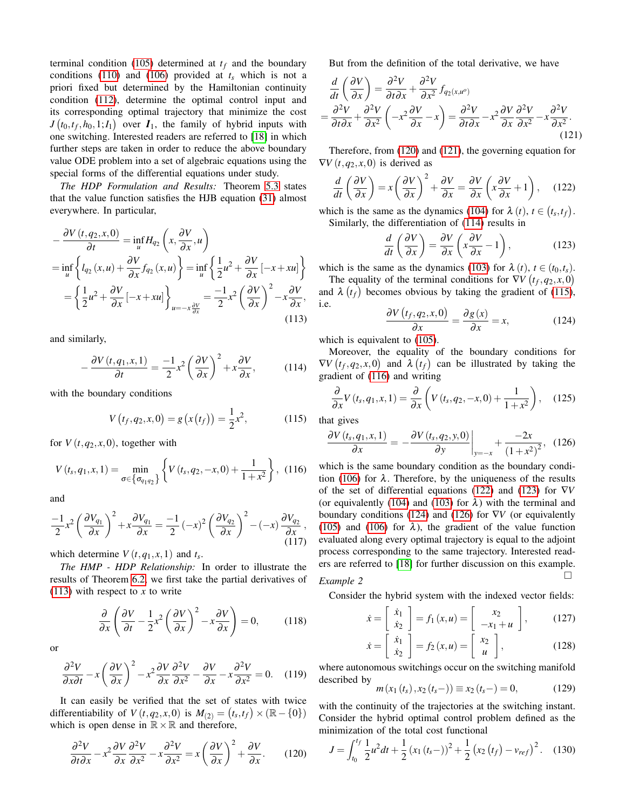terminal condition [\(105\)](#page-8-15) determined at  $t_f$  and the boundary conditions [\(110\)](#page-8-9) and [\(106\)](#page-8-16) provided at  $t_s$  which is not a priori fixed but determined by the Hamiltonian continuity condition [\(112\)](#page-8-17), determine the optimal control input and its corresponding optimal trajectory that minimize the cost  $J(t_0, t_f, h_0, 1; I_1)$  over  $I_1$ , the family of hybrid inputs with one switching. Interested readers are referred to [\[18\]](#page-13-12) in which further steps are taken in order to reduce the above boundary value ODE problem into a set of algebraic equations using the special forms of the differential equations under study.

*The HDP Formulation and Results:* Theorem [5.3](#page-4-9) states that the value function satisfies the HJB equation [\(31\)](#page-4-10) almost everywhere. In particular,

$$
-\frac{\partial V(t, q_2, x, 0)}{\partial t} = \inf_{u} H_{q_2}\left(x, \frac{\partial V}{\partial x}, u\right)
$$
  
= 
$$
\inf_{u} \left\{ l_{q_2}(x, u) + \frac{\partial V}{\partial x} f_{q_2}(x, u) \right\} = \inf_{u} \left\{ \frac{1}{2} u^2 + \frac{\partial V}{\partial x} [-x + xu] \right\}
$$
  
= 
$$
\left\{ \frac{1}{2} u^2 + \frac{\partial V}{\partial x} [-x + xu] \right\}_{u = -x \frac{\partial V}{\partial x}} = -\frac{1}{2} x^2 \left( \frac{\partial V}{\partial x} \right)^2 - x \frac{\partial V}{\partial x},
$$
(113)

and similarly,

<span id="page-9-3"></span>
$$
-\frac{\partial V(t,q_1,x,1)}{\partial t} = -\frac{1}{2}x^2 \left(\frac{\partial V}{\partial x}\right)^2 + x\frac{\partial V}{\partial x},\tag{114}
$$

with the boundary conditions

<span id="page-9-4"></span>
$$
V(t_f, q_2, x, 0) = g(x(t_f)) = \frac{1}{2}x^2,
$$
 (115)

for  $V(t, q_2, x, 0)$ , together with

<span id="page-9-5"></span>
$$
V(t_s, q_1, x, 1) = \min_{\sigma \in \left\{\sigma_{q_1 q_2}\right\}} \left\{ V(t_s, q_2, -x, 0) + \frac{1}{1 + x^2} \right\}, \tag{116}
$$

and

$$
\frac{-1}{2}x^2 \left(\frac{\partial V_{q_1}}{\partial x}\right)^2 + x \frac{\partial V_{q_1}}{\partial x} = \frac{-1}{2}(-x)^2 \left(\frac{\partial V_{q_2}}{\partial x}\right)^2 - (-x) \frac{\partial V_{q_2}}{\partial x},
$$
\n(117)

which determine  $V(t, q_1, x, 1)$  and  $t_s$ .

*The HMP - HDP Relationship:* In order to illustrate the results of Theorem [6.2,](#page-8-18) we first take the partial derivatives of  $(113)$  with respect to *x* to write

$$
\frac{\partial}{\partial x}\left(\frac{\partial V}{\partial t} - \frac{1}{2}x^2\left(\frac{\partial V}{\partial x}\right)^2 - x\frac{\partial V}{\partial x}\right) = 0, \quad (118)
$$

or

$$
\frac{\partial^2 V}{\partial x \partial t} - x \left( \frac{\partial V}{\partial x} \right)^2 - x^2 \frac{\partial V}{\partial x} \frac{\partial^2 V}{\partial x^2} - \frac{\partial V}{\partial x} - x \frac{\partial^2 V}{\partial x^2} = 0. \quad (119)
$$

It can easily be verified that the set of states with twice differentiability of  $V(t, q_2, x, 0)$  is  $M_{(2)} = (t_s, t_f) \times (\mathbb{R} - \{0\})$ which is open dense in  $\mathbb{R} \times \mathbb{R}$  and therefore,

<span id="page-9-1"></span>
$$
\frac{\partial^2 V}{\partial t \partial x} - x^2 \frac{\partial V}{\partial x} \frac{\partial^2 V}{\partial x^2} - x \frac{\partial^2 V}{\partial x^2} = x \left( \frac{\partial V}{\partial x} \right)^2 + \frac{\partial V}{\partial x}.
$$
 (120)

But from the definition of the total derivative, we have

$$
\frac{d}{dt}\left(\frac{\partial V}{\partial x}\right) = \frac{\partial^2 V}{\partial t \partial x} + \frac{\partial^2 V}{\partial x^2} f_{q_2(x, u^o)} \n= \frac{\partial^2 V}{\partial t \partial x} + \frac{\partial^2 V}{\partial x^2} \left(-x^2 \frac{\partial V}{\partial x} - x\right) = \frac{\partial^2 V}{\partial t \partial x} - x^2 \frac{\partial V}{\partial x} \frac{\partial^2 V}{\partial x^2} - x \frac{\partial^2 V}{\partial x^2}.
$$
\n(121)

Therefore, from [\(120\)](#page-9-1) and [\(121\)](#page-9-2), the governing equation for  $\nabla V(t, q_2, x, 0)$  is derived as

<span id="page-9-6"></span>
$$
\frac{d}{dt}\left(\frac{\partial V}{\partial x}\right) = x\left(\frac{\partial V}{\partial x}\right)^2 + \frac{\partial V}{\partial x} = \frac{\partial V}{\partial x}\left(x\frac{\partial V}{\partial x} + 1\right),\tag{122}
$$

which is the same as the dynamics [\(104\)](#page-8-11) for  $\lambda(t)$ ,  $t \in (t_s, t_f)$ . Similarly, the differentiation of [\(114\)](#page-9-3) results in

<span id="page-9-7"></span><span id="page-9-2"></span>
$$
\frac{d}{dt}\left(\frac{\partial V}{\partial x}\right) = \frac{\partial V}{\partial x}\left(x\frac{\partial V}{\partial x} - 1\right),\tag{123}
$$

which is the same as the dynamics [\(103\)](#page-8-10) for  $\lambda(t)$ ,  $t \in (t_0, t_s)$ .

The equality of the terminal conditions for  $\nabla V(t_f, q_2, x, 0)$ and  $\lambda(t_f)$  becomes obvious by taking the gradient of [\(115\)](#page-9-4), i.e.

<span id="page-9-8"></span>
$$
\frac{\partial V(t_f, q_2, x, 0)}{\partial x} = \frac{\partial g(x)}{\partial x} = x,\tag{124}
$$

<span id="page-9-0"></span>which is equivalent to [\(105\)](#page-8-15).

Moreover, the equality of the boundary conditions for  $\nabla V(t_f, q_2, x, 0)$  and  $\lambda(t_f)$  can be illustrated by taking the gradient of [\(116\)](#page-9-5) and writing

$$
\frac{\partial}{\partial x}V(t_s, q_1, x, 1) = \frac{\partial}{\partial x}\left(V(t_s, q_2, -x, 0) + \frac{1}{1 + x^2}\right), \quad (125)
$$

that gives

<span id="page-9-9"></span>
$$
\frac{\partial V(t_s, q_1, x, 1)}{\partial x} = -\frac{\partial V(t_s, q_2, y, 0)}{\partial y}\Big|_{y=-x} + \frac{-2x}{(1+x^2)^2}, \quad (126)
$$

which is the same boundary condition as the boundary condi-tion [\(106\)](#page-8-16) for  $\lambda$ . Therefore, by the uniqueness of the results of the set of differential equations [\(122\)](#page-9-6) and [\(123\)](#page-9-7) for ∇*V* (or equivalently [\(104\)](#page-8-11) and [\(103\)](#page-8-10) for  $\lambda$ ) with the terminal and boundary conditions [\(124\)](#page-9-8) and [\(126\)](#page-9-9) for ∇*V* (or equivalently [\(105\)](#page-8-15) and [\(106\)](#page-8-16) for  $\lambda$ ), the gradient of the value function evaluated along every optimal trajectory is equal to the adjoint process corresponding to the same trajectory. Interested readers are referred to [\[18\]](#page-13-12) for further discussion on this example. *Example 2*

Consider the hybrid system with the indexed vector fields:

$$
\dot{x} = \begin{bmatrix} \dot{x}_1 \\ \dot{x}_2 \end{bmatrix} = f_1(x, u) = \begin{bmatrix} x_2 \\ -x_1 + u \end{bmatrix}, \quad (127)
$$

<span id="page-9-12"></span><span id="page-9-11"></span>
$$
\dot{x} = \begin{bmatrix} \dot{x}_1 \\ \dot{x}_2 \end{bmatrix} = f_2(x, u) = \begin{bmatrix} x_2 \\ u \end{bmatrix},
$$
(128)

where autonomous switchings occur on the switching manifold described by

<span id="page-9-10"></span>
$$
m(x_1(t_s), x_2(t_s-)) \equiv x_2(t_s-) = 0,
$$
 (129)

with the continuity of the trajectories at the switching instant. Consider the hybrid optimal control problem defined as the minimization of the total cost functional

$$
J = \int_{t_0}^{t_f} \frac{1}{2} u^2 dt + \frac{1}{2} (x_1 (t_s -))^2 + \frac{1}{2} (x_2 (t_f) - v_{ref})^2.
$$
 (130)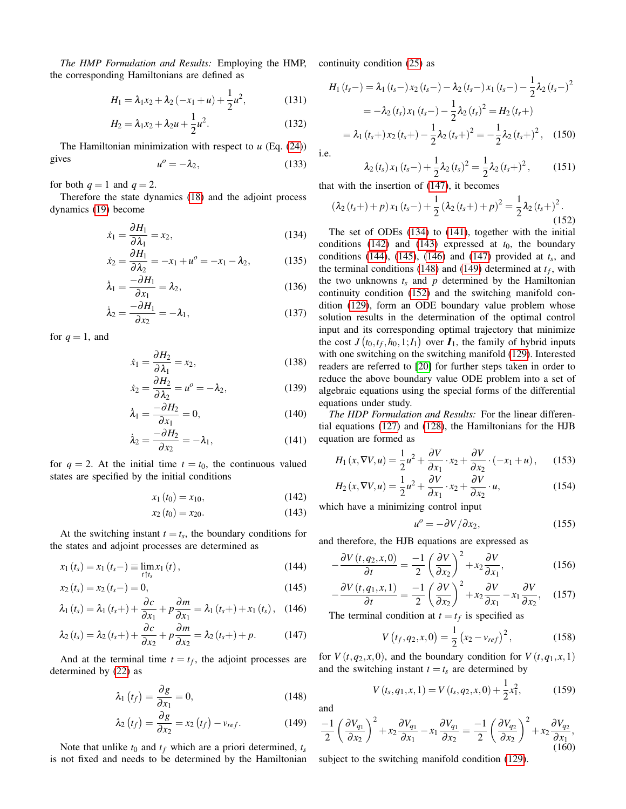*The HMP Formulation and Results:* Employing the HMP, continuity condition [\(25\)](#page-3-10) as the corresponding Hamiltonians are defined as

$$
H_1 = \lambda_1 x_2 + \lambda_2 (-x_1 + u) + \frac{1}{2} u^2, \tag{131}
$$

$$
H_2 = \lambda_1 x_2 + \lambda_2 u + \frac{1}{2} u^2.
$$
 (132)

The Hamiltonian minimization with respect to *u* (Eq. [\(24\)](#page-3-11)) gives  $u^o = -\lambda_2,$  (133)

$$
\overline{a}
$$

for both  $q = 1$  and  $q = 2$ .

Therefore the state dynamics [\(18\)](#page-3-9) and the adjoint process dynamics [\(19\)](#page-3-8) become

$$
\dot{x}_1 = \frac{\partial H_1}{\partial \lambda_1} = x_2,\tag{134}
$$

$$
\dot{x}_2 = \frac{\partial H_1}{\partial \lambda_2} = -x_1 + u^o = -x_1 - \lambda_2, \qquad (135)
$$

$$
\dot{\lambda}_1 = \frac{-\partial H_1}{\partial x_1} = \lambda_2, \tag{136}
$$

$$
\dot{\lambda}_2 = \frac{-\partial H_1}{\partial x_2} = -\lambda_1,\tag{137}
$$

for  $q = 1$ , and

$$
\dot{x}_1 = \frac{\partial H_2}{\partial \lambda_1} = x_2,\tag{138}
$$

$$
\dot{x}_2 = \frac{\partial H_2}{\partial \lambda_2} = u^o = -\lambda_2,\tag{139}
$$

$$
\dot{\lambda}_1 = \frac{-\partial H_2}{\partial x_1} = 0,\tag{140}
$$

$$
\dot{\lambda}_2 = \frac{-\partial H_2}{\partial x_2} = -\lambda_1,\tag{141}
$$

for  $q = 2$ . At the initial time  $t = t_0$ , the continuous valued states are specified by the initial conditions

$$
x_1(t_0) = x_{10}, \t(142)
$$

$$
x_2(t_0) = x_{20}.\tag{143}
$$

At the switching instant  $t = t_s$ , the boundary conditions for the states and adjoint processes are determined as

$$
x_1(t_s) = x_1(t_s-) \equiv \lim_{t \uparrow t_s} x_1(t), \qquad (144)
$$

$$
x_2(t_s) = x_2(t_s -) = 0,
$$
\n(145)

$$
\lambda_1(t_s) = \lambda_1(t_s+) + \frac{\partial c}{\partial x_1} + p\frac{\partial m}{\partial x_1} = \lambda_1(t_s+) + x_1(t_s), \quad (146)
$$

$$
\lambda_2(t_s) = \lambda_2(t_s+) + \frac{\partial c}{\partial x_2} + p \frac{\partial m}{\partial x_2} = \lambda_2(t_s+) + p. \tag{147}
$$

And at the terminal time  $t = t_f$ , the adjoint processes are determined by [\(22\)](#page-3-12) as

$$
\lambda_1(t_f) = \frac{\partial g}{\partial x_1} = 0, \qquad (148)
$$

$$
\lambda_2\left(t_f\right) = \frac{\partial g}{\partial x_2} = x_2\left(t_f\right) - v_{ref}.\tag{149}
$$

Note that unlike  $t_0$  and  $t_f$  which are a priori determined,  $t_s$ is not fixed and needs to be determined by the Hamiltonian

$$
H_1(t_s-) = \lambda_1(t_s-) x_2(t_s-) - \lambda_2(t_s-) x_1(t_s-) - \frac{1}{2}\lambda_2(t_s-)^2
$$
  
=  $-\lambda_2(t_s) x_1(t_s-) - \frac{1}{2}\lambda_2(t_s)^2 = H_2(t_s+)$   
=  $\lambda_1(t_s+) x_2(t_s+) - \frac{1}{2}\lambda_2(t_s+)^2 = -\frac{1}{2}\lambda_2(t_s+)^2$ , (150)

i.e.

$$
\lambda_2(t_s) x_1(t_s-) + \frac{1}{2} \lambda_2(t_s)^2 = \frac{1}{2} \lambda_2(t_s+)^2, \qquad (151)
$$

that with the insertion of [\(147\)](#page-10-0), it becomes

<span id="page-10-10"></span>
$$
(\lambda_2(t_s+)+p)x_1(t_s-)+\frac{1}{2}(\lambda_2(t_s+)+p)^2=\frac{1}{2}\lambda_2(t_s+)^2.
$$
\n(152)

<span id="page-10-15"></span><span id="page-10-14"></span><span id="page-10-1"></span>The set of ODEs [\(134\)](#page-10-1) to [\(141\)](#page-10-2), together with the initial conditions [\(142\)](#page-10-3) and [\(143\)](#page-10-4) expressed at  $t_0$ , the boundary conditions [\(144\)](#page-10-5), [\(145\)](#page-10-6), [\(146\)](#page-10-7) and [\(147\)](#page-10-0) provided at  $t_s$ , and the terminal conditions [\(148\)](#page-10-8) and [\(149\)](#page-10-9) determined at  $t_f$ , with the two unknowns  $t_s$  and  $p$  determined by the Hamiltonian continuity condition [\(152\)](#page-10-10) and the switching manifold condition [\(129\)](#page-9-10), form an ODE boundary value problem whose solution results in the determination of the optimal control input and its corresponding optimal trajectory that minimize the cost  $J(t_0, t_f, h_0, 1; I_1)$  over  $I_1$ , the family of hybrid inputs with one switching on the switching manifold [\(129\)](#page-9-10). Interested readers are referred to [\[20\]](#page-13-13) for further steps taken in order to reduce the above boundary value ODE problem into a set of algebraic equations using the special forms of the differential equations under study.

<span id="page-10-13"></span><span id="page-10-2"></span>*The HDP Formulation and Results:* For the linear differential equations [\(127\)](#page-9-11) and [\(128\)](#page-9-12), the Hamiltonians for the HJB equation are formed as

$$
H_1(x,\nabla V,u) = \frac{1}{2}u^2 + \frac{\partial V}{\partial x_1} \cdot x_2 + \frac{\partial V}{\partial x_2} \cdot (-x_1 + u), \quad (153)
$$

$$
H_2(x,\nabla V,u) = \frac{1}{2}u^2 + \frac{\partial V}{\partial x_1} \cdot x_2 + \frac{\partial V}{\partial x_2} \cdot u,\tag{154}
$$

<span id="page-10-4"></span><span id="page-10-3"></span>which have a minimizing control input

<span id="page-10-12"></span><span id="page-10-11"></span>
$$
u^o = -\partial V / \partial x_2, \tag{155}
$$

<span id="page-10-5"></span>and therefore, the HJB equations are expressed as

$$
-\frac{\partial V(t, q_2, x, 0)}{\partial t} = -\frac{1}{2} \left( \frac{\partial V}{\partial x_2} \right)^2 + x_2 \frac{\partial V}{\partial x_1},
$$
(156)

<span id="page-10-6"></span>
$$
-\frac{\partial V(t, q_1, x, 1)}{\partial t} = -\frac{1}{2} \left( \frac{\partial V}{\partial x_2} \right)^2 + x_2 \frac{\partial V}{\partial x_1} - x_1 \frac{\partial V}{\partial x_2}, \quad (157)
$$

<span id="page-10-7"></span><span id="page-10-0"></span>The terminal condition at  $t = t_f$  is specified as

$$
V(t_f, q_2, x, 0) = \frac{1}{2} (x_2 - v_{ref})^2, \qquad (158)
$$

for  $V(t, q_2, x, 0)$ , and the boundary condition for  $V(t, q_1, x, 1)$ and the switching instant  $t = t_s$  are determined by

$$
V(t_s, q_1, x, 1) = V(t_s, q_2, x, 0) + \frac{1}{2}x_1^2,
$$
 (159)

<span id="page-10-9"></span><span id="page-10-8"></span>and

$$
\frac{-1}{2}\left(\frac{\partial V_{q_1}}{\partial x_2}\right)^2 + x_2\frac{\partial V_{q_1}}{\partial x_1} - x_1\frac{\partial V_{q_1}}{\partial x_2} = \frac{-1}{2}\left(\frac{\partial V_{q_2}}{\partial x_2}\right)^2 + x_2\frac{\partial V_{q_2}}{\partial x_1},\tag{160}
$$

subject to the switching manifold condition [\(129\)](#page-9-10).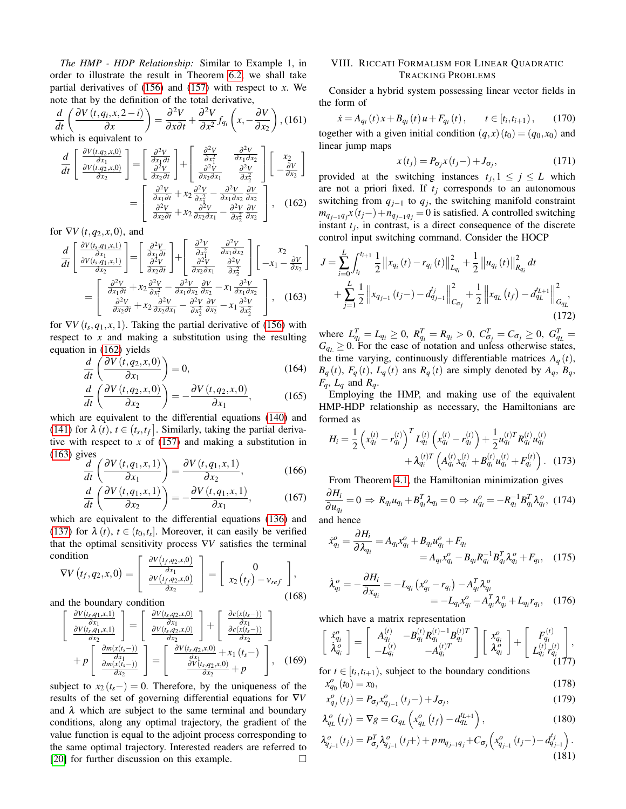*The HMP - HDP Relationship:* Similar to Example 1, in order to illustrate the result in Theorem [6.2,](#page-8-18) we shall take partial derivatives of [\(156\)](#page-10-11) and [\(157\)](#page-10-12) with respect to *x*. We note that by the definition of the total derivative,

$$
\frac{d}{dt}\left(\frac{\partial V(t,q_i,x,2-i)}{\partial x}\right) = \frac{\partial^2 V}{\partial x \partial t} + \frac{\partial^2 V}{\partial x^2} f_{q_i}\left(x, -\frac{\partial V}{\partial x_2}\right), (161)
$$

which is equivalent to

$$
\frac{d}{dt} \left[ \frac{\frac{\partial V(t, q_2, x, 0)}{\partial x_1}}{\frac{\partial V(t, q_2, x, 0)}{\partial x_2}} \right] = \left[ \frac{\frac{\partial^2 V}{\partial x_1 \partial t}}{\frac{\partial^2 V}{\partial x_2 \partial t}} \right] + \left[ \frac{\frac{\partial^2 V}{\partial x_1^2}}{\frac{\partial^2 V}{\partial x_2 \partial x_1}} \frac{\frac{\partial^2 V}{\partial x_1 \partial x_2}}{\frac{\partial^2 V}{\partial x_2^2}} \right] \left[ \frac{x_2}{-\frac{\partial V}{\partial x_2}} \right]
$$
\n
$$
= \left[ \frac{\frac{\partial^2 V}{\partial x_1 \partial t} + x_2 \frac{\partial^2 V}{\partial x_1^2} - \frac{\partial^2 V}{\partial x_1 \partial x_2} \frac{\partial V}{\partial x_2}}{\frac{\partial^2 V}{\partial x_1 \partial x_2} - \frac{\partial^2 V}{\partial x_2^2} \frac{\partial V}{\partial x_2}} \right], \quad (162)
$$

for  $\nabla V(t, q_2, x, 0)$ , and

$$
\frac{d}{dt} \left[ \frac{\frac{\partial V(t_S, g_1, x, 1)}{\partial x_1}}{\frac{\partial V(t_S, g_1, x, 1)}{\partial x_2}} \right] = \left[ \frac{\frac{\partial^2 V}{\partial x_1 \partial t}}{\frac{\partial^2 V}{\partial x_2 \partial t}} \right] + \left[ \frac{\frac{\partial^2 V}{\partial x_1^2}}{\frac{\partial^2 V}{\partial x_2 \partial x_1}} \frac{\frac{\partial^2 V}{\partial x_1 \partial x_2}}{\frac{\partial^2 V}{\partial x_2^2}} \right] \left[ \frac{x_2}{-x_1} - \frac{\partial V}{\partial x_2} \right]
$$
\n
$$
= \left[ \frac{\frac{\partial^2 V}{\partial x_1 \partial t} + x_2 \frac{\partial^2 V}{\partial x_1^2}}{\frac{\partial^2 V}{\partial x_2 \partial t_1}} \frac{\partial^2 V}{\partial x_1 \partial x_2} \frac{\partial V}{\partial x_2} - x_1 \frac{\partial^2 V}{\partial x_1 \partial x_2} \right], \quad (163)
$$

for  $\nabla V(t_s, q_1, x, 1)$ . Taking the partial derivative of [\(156\)](#page-10-11) with respect to *x* and making a substitution using the resulting equation in [\(162\)](#page-11-1) yields

$$
\frac{d}{dt}\left(\frac{\partial V\left(t,q_2,x,0\right)}{\partial x_1}\right) = 0,\tag{164}
$$

$$
\frac{d}{dt}\left(\frac{\partial V\left(t,q_2,x,0\right)}{\partial x_2}\right) = -\frac{\partial V\left(t,q_2,x,0\right)}{\partial x_1},\tag{165}
$$

which are equivalent to the differential equations [\(140\)](#page-10-13) and [\(141\)](#page-10-2) for  $\lambda(t)$ ,  $t \in (t_s, t_f]$ . Similarly, taking the partial derivative with respect to *x* of [\(157\)](#page-10-12) and making a substitution in [\(163\)](#page-11-2) gives

$$
\frac{d}{dt}\left(\frac{\partial V(t,q_1,x,1)}{\partial x_1}\right) = \frac{\partial V(t,q_1,x,1)}{\partial x_2},\tag{166}
$$

$$
\frac{d}{dt}\left(\frac{\partial V(t,q_1,x,1)}{\partial x_2}\right) = -\frac{\partial V(t,q_1,x,1)}{\partial x_1},\tag{167}
$$

which are equivalent to the differential equations [\(136\)](#page-10-14) and [\(137\)](#page-10-15) for  $\lambda(t)$ ,  $t \in (t_0, t_s]$ . Moreover, it can easily be verified that the optimal sensitivity process ∇*V* satisfies the terminal condition

$$
\nabla V(t_f, q_2, x, 0) = \begin{bmatrix} \frac{\partial V(t_f, q_2, x, 0)}{\partial x_1} \\ \frac{\partial V(t_f, q_2, x, 0)}{\partial x_2} \end{bmatrix} = \begin{bmatrix} 0 \\ x_2(t_f) - v_{ref} \end{bmatrix},
$$

(168) and the boundary condition

$$
\begin{bmatrix}\n\frac{\partial V(t_s, q_1, x, 1)}{\partial x_1} \\
\frac{\partial V(t_s, q_1, x, 1)}{\partial x_2}\n\end{bmatrix} = \begin{bmatrix}\n\frac{\partial V(t_s, q_2, x, 0)}{\partial x_1} \\
\frac{\partial V(t_s, q_2, x, 0)}{\partial x_2}\n\end{bmatrix} + \begin{bmatrix}\n\frac{\partial c(x(t_s-))}{\partial x_1} \\
\frac{\partial c(x(t_s-))}{\partial x_2}\n\end{bmatrix}
$$
\n
$$
+ p \begin{bmatrix}\n\frac{\partial m(x(t_s-))}{\partial x_1} \\
\frac{\partial m(x(t_s-))}{\partial x_2}\n\end{bmatrix} = \begin{bmatrix}\n\frac{\partial V(t_s, q_2, x, 0)}{\partial x_1} + x_1(t_s-) \\
\frac{\partial V(t_s, q_2, x, 0)}{\partial x_2} + p\n\end{bmatrix},
$$
\n(169)

subject to  $x_2(t_s-)=0$ . Therefore, by the uniqueness of the results of the set of governing differential equations for ∇*V* and  $\lambda$  which are subject to the same terminal and boundary conditions, along any optimal trajectory, the gradient of the value function is equal to the adjoint process corresponding to the same optimal trajectory. Interested readers are referred to [\[20\]](#page-13-13) for further discussion on this example.  $\Box$ 

## <span id="page-11-0"></span>VIII. RICCATI FORMALISM FOR LINEAR QUADRATIC TRACKING PROBLEMS

Consider a hybrid system possessing linear vector fields in the form of

$$
\dot{x} = A_{q_i}(t)x + B_{q_i}(t)u + F_{q_i}(t), \qquad t \in [t_i, t_{i+1}), \qquad (170)
$$

together with a given initial condition  $(q, x)(t_0) = (q_0, x_0)$  and linear jump maps

$$
x(t_j) = P_{\sigma_j} x(t_j - t) + J_{\sigma_j}, \qquad (171)
$$

<span id="page-11-1"></span>provided at the switching instances  $t_j, 1 \leq j \leq L$  which are not a priori fixed. If  $t_j$  corresponds to an autonomous switching from  $q_{j-1}$  to  $q_j$ , the switching manifold constraint  $m_{q_{j-1}q_j}x(t_j-) + n_{q_{j-1}q_j} = 0$  is satisfied. A controlled switching instant  $t_j$ , in contrast, is a direct consequence of the discrete control input switching command. Consider the HOCP

<span id="page-11-2"></span>
$$
J = \sum_{i=0}^{L} \int_{t_i}^{t_{i+1}} \frac{1}{2} \left\| x_{q_i}(t) - r_{q_i}(t) \right\|_{L_{q_i}}^2 + \frac{1}{2} \left\| u_{q_i}(t) \right\|_{R_{q_i}}^2 dt
$$
  
+ 
$$
\sum_{j=1}^{L} \frac{1}{2} \left\| x_{q_{j-1}}(t_j-) - d_{q_{j-1}}^{t_j} \right\|_{C_{\sigma_j}}^2 + \frac{1}{2} \left\| x_{q_L}(t_f) - d_{q_L}^{t_{L+1}} \right\|_{G_{q_L}}^2,
$$
(172)

where  $L_{q_i}^T = L_{q_i} \ge 0$ ,  $R_{q_i}^T = R_{q_i} > 0$ ,  $C_{\sigma_j}^T = C_{\sigma_j} \ge 0$ ,  $G_{q_i}^T =$  $G_{q_L} \geq 0$ . For the ease of notation and unless otherwise states, the time varying, continuously differentiable matrices  $A_q(t)$ ,  $B_q(t)$ ,  $F_q(t)$ ,  $L_q(t)$  ans  $R_q(t)$  are simply denoted by  $A_q$ ,  $B_q$ ,  $F_q$ ,  $L_q$  and  $R_q$ .

Employing the HMP, and making use of the equivalent HMP-HDP relationship as necessary, the Hamiltonians are formed as

<span id="page-11-4"></span>
$$
H_{i} = \frac{1}{2} \left( x_{q_{i}}^{(t)} - r_{q_{i}}^{(t)} \right)^{T} L_{q_{i}}^{(t)} \left( x_{q_{i}}^{(t)} - r_{q_{i}}^{(t)} \right) + \frac{1}{2} u_{q_{i}}^{(t)T} R_{q_{i}}^{(t)} u_{q_{i}}^{(t)} + \lambda_{q_{i}}^{(t)T} \left( A_{q_{i}}^{(t)} x_{q_{i}}^{(t)} + B_{q_{i}}^{(t)} u_{q_{i}}^{(t)} + F_{q_{i}}^{(t)} \right). \tag{173}
$$

From Theorem [4.1,](#page-3-7) the Hamiltonian minimization gives

$$
\frac{\partial H_i}{\partial u_{q_i}} = 0 \Rightarrow R_{q_i} u_{q_i} + B_{q_i}^T \lambda_{q_i} = 0 \Rightarrow u_{q_i}^o = -R_{q_i}^{-1} B_{q_i}^T \lambda_{q_i}^o, \quad (174)
$$
  
and hence

$$
\dot{x}_{q_i}^o = \frac{\partial H_i}{\partial \lambda_{q_i}} = A_{q_i} x_{q_i}^o + B_{q_i} u_{q_i}^o + F_{q_i}
$$
  
=  $A_{q_i} x_{q_i}^o - B_{q_i} R_{q_i}^{-1} B_{q_i}^T \lambda_{q_i}^o + F_{q_i}$ , (175)

$$
\dot{\lambda}_{q_i}^o = -\frac{\partial H_i}{\partial x_{q_i}} = -L_{q_i} \left( x_{q_i}^o - r_{q_i} \right) - A_{q_i}^T \lambda_{q_i}^o \n= -L_{q_i} x_{q_i}^o - A_{q_i}^T \lambda_{q_i}^o + L_{q_i} r_{q_i}, \quad (176)
$$

which have a matrix representation

<span id="page-11-3"></span>
$$
\begin{bmatrix} \dot{x}_{q_i}^o \\ \dot{\lambda}_{q_i}^o \end{bmatrix} = \begin{bmatrix} A_{q_i}^{(t)} & -B_{q_i}^{(t)} R_{q_i}^{(t)-1} B_{q_i}^{(t)T} \\ -L_{q_i}^{(t)} & -A_{q_i}^{(t)T} \end{bmatrix} \begin{bmatrix} x_{q_i}^o \\ \lambda_{q_i}^o \end{bmatrix} + \begin{bmatrix} F_{q_i}^{(t)} \\ L_{q_i}^{(t)} r_{q_i}^{(t)} \end{bmatrix},
$$
\n(177)

for  $t \in [t_i, t_{i+1})$ , subject to the boundary conditions

$$
x_{q_0}^o(t_0) = x_0,
$$
\n
$$
x_{q_0}^o(t_0) = P r_0^o(t_0) + I
$$
\n(178)

$$
x_{q_j}^o(t_j) = P_{\sigma_j} x_{q_{j-1}}^o(t_j-) + J_{\sigma_j},
$$
\n
$$
x_{q_j}^o(t_j) - \nabla g - G \left( x_{q_j}^o(t_j) - d_{j+1}^{t+1} \right)
$$
\n(179)

$$
\lambda_{q_L}^o(t_f) = \nabla g = G_{q_L} \left( x_{q_L}^o(t_f) - d_{q_L}^{t_{L+1}} \right),\tag{180}
$$

$$
\lambda_{q_{j-1}}^o(t_j) = P_{\sigma_j}^T \lambda_{q_{j-1}}^o(t_j+) + p m_{q_{j-1}q_j} + C_{\sigma_j} \left( x_{q_{j-1}}^o(t_j-) - d_{q_{j-1}}^{t_j} \right).
$$
\n(181)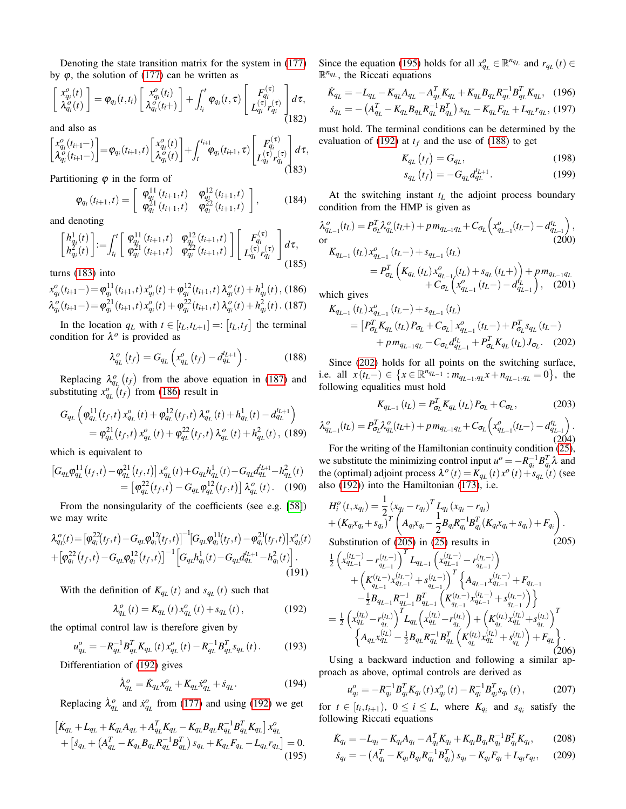Denoting the state transition matrix for the system in [\(177\)](#page-11-3) by  $\varphi$ , the solution of [\(177\)](#page-11-3) can be written as

$$
\begin{bmatrix} x_{q_i}^o(t) \\ \lambda_{q_i}^o(t) \end{bmatrix} = \varphi_{q_i}(t,t_i) \begin{bmatrix} x_{q_i}^o(t_i) \\ \lambda_{q_i}^o(t_{i+1}) \end{bmatrix} + \int_{t_i}^t \varphi_{q_i}(t,\tau) \begin{bmatrix} F_{q_i}^{(\tau)} \\ L_{q_i}^{(\tau)} r_{q_i}^{(\tau)} \end{bmatrix} d\tau, \tag{182}
$$

and also as

<span id="page-12-0"></span>
$$
\begin{bmatrix} x_{q_i}^o(t_{i+1}-) \\ \lambda_{q_i}^o(t_{i+1}-) \end{bmatrix} = \varphi_{q_i}(t_{i+1},t) \begin{bmatrix} x_{q_i}^o(t) \\ \lambda_{q_i}^o(t) \end{bmatrix} + \int_t^{t_{i+1}} \varphi_{q_i}(t_{i+1},\tau) \begin{bmatrix} F_{q_i}^{(\tau)} \\ L_{q_i}^{(\tau)} r_{q_i}^{(\tau)} \end{bmatrix} d\tau, \tag{183}
$$

Partitioning  $\varphi$  in the form of

$$
\varphi_{q_i}(t_{i+1},t) = \begin{bmatrix} \varphi_{q_i}^{11}(t_{i+1},t) & \varphi_{q_i}^{12}(t_{i+1},t) \\ \varphi_{q_i}^{21}(t_{i+1},t) & \varphi_{q_i}^{22}(t_{i+1},t) \end{bmatrix},
$$
(184)

and denoting

$$
\begin{bmatrix} h_{q_i}^1(t) \\ h_{q_i}^2(t) \end{bmatrix} := \int_{t_i}^t \begin{bmatrix} \varphi_{q_i}^{11}(t_{i+1},t) & \varphi_{q_i}^{12}(t_{i+1},t) \\ \varphi_{q_i}^{21}(t_{i+1},t) & \varphi_{q_i}^{22}(t_{i+1},t) \end{bmatrix} \begin{bmatrix} F_{q_i}^{(\tau)} \\ L_{q_i}^{(\tau)} r_{q_i}^{(\tau)} \end{bmatrix} d\tau,
$$
\n(183) i.e.

turns [\(183\)](#page-12-0) into

$$
x_{q_i}^o(t_{i+1}-) = \varphi_{q_i}^{11}(t_{i+1},t) x_{q_i}^o(t) + \varphi_{q_i}^{12}(t_{i+1},t) \lambda_{q_i}^o(t) + h_{q_i}^1(t),
$$
 (186)  

$$
\lambda_{q_i}^o(t_{i+1}-) = \varphi_{q_i}^{21}(t_{i+1},t) x_{q_i}^o(t) + \varphi_{q_i}^{22}(t_{i+1},t) \lambda_{q_i}^o(t) + h_{q_i}^2(t).
$$
 (187)

In the location  $q_L$  with  $t \in [t_L, t_{L+1}] =: [t_L, t_f]$  the terminal condition for  $\lambda^o$  is provided as

<span id="page-12-5"></span>
$$
\lambda_{q_L}^o(t_f) = G_{q_L}\left(x_{q_L}^o(t_f) - d_{q_L}^{t_{L+1}}\right). \tag{188}
$$

Replacing  $\lambda_{q_L}^o(t_f)$  from the above equation in [\(187\)](#page-12-1) and substituting  $x_{q_L}^o(t_f)$  from [\(186\)](#page-12-2) result in

$$
G_{q_L} \left( \varphi_{q_L}^{11} (t_f, t) x_{q_L}^o (t) + \varphi_{q_L}^{12} (t_f, t) \lambda_{q_L}^o (t) + h_{q_L}^1 (t) - d_{q_L}^{t_{L+1}} \right)
$$
  
=  $\varphi_{q_L}^{21} (t_f, t) x_{q_L}^o (t) + \varphi_{q_L}^{22} (t_f, t) \lambda_{q_L}^o (t) + h_{q_L}^2 (t),$  (189)

which is equivalent to

$$
\begin{aligned} \left[G_{q_L}\varphi_{q_L}^{11}(t_f,t) - \varphi_{q_L}^{21}(t_f,t)\right] x_{q_L}^o(t) + G_{q_L}h_{q_L}^1(t) - G_{q_L}d_{q_L}^{t_{L+1}} - h_{q_L}^2(t) \\ &= \left[\varphi_{q_L}^{22}(t_f,t) - G_{q_L}\varphi_{q_L}^{12}(t_f,t)\right] \lambda_{q_L}^o(t). \end{aligned} \tag{190}
$$

From the nonsingularity of the coefficients (see e.g. [\[58\]](#page-14-18)) we may write

$$
\lambda_{q_{L}}^{o}(t) = \left[\varphi_{q_{i}}^{22}(t_{f}, t) - G_{q_{L}}\varphi_{q_{i}}^{12}(t_{f}, t)\right]^{-1}\left[G_{q_{L}}\varphi_{q_{i}}^{11}(t_{f}, t) - \varphi_{q_{i}}^{21}(t_{f}, t)\right]x_{q_{L}}^{o}(t) + \left[\varphi_{q_{i}}^{22}(t_{f}, t) - G_{q_{L}}\varphi_{q_{i}}^{12}(t_{f}, t)\right]^{-1}\left[G_{q_{L}}h_{q_{i}}^{1}(t) - G_{q_{L}}d_{q_{L}}^{t_{L+1}} - h_{q_{i}}^{2}(t)\right].
$$
\n(191)

With the definition of  $K_{q_L}(t)$  and  $s_{q_L}(t)$  such that

<span id="page-12-3"></span>
$$
\lambda_{q_L}^o(t) = K_{q_L}(t) x_{q_L}^o(t) + s_{q_L}(t), \qquad (192)
$$

the optimal control law is therefore given by

$$
u_{q_L}^o = -R_{q_L}^{-1} B_{q_L}^T K_{q_L}(t) x_{q_L}^o(t) - R_{q_L}^{-1} B_{q_L}^T s_{q_L}(t).
$$
 (193)

Differentiation of [\(192\)](#page-12-3) gives

$$
\dot{\lambda}_{q_L}^o = \dot{K}_{q_L} x_{q_L}^o + K_{q_L} x_{q_L}^o + \dot{s}_{q_L}.
$$
\n(194)

Replacing  $\lambda_{q_L}^o$  and  $\dot{x}_{q_L}^o$  from [\(177\)](#page-11-3) and using [\(192\)](#page-12-3) we get

$$
\begin{aligned} &\left[\dot{K}_{q_L} + L_{q_L} + K_{q_L}A_{q_L} + A_{q_L}^T K_{q_L} - K_{q_L}B_{q_L}R_{q_L}^{-1}B_{q_L}^T K_{q_L}\right]x_{q_L}^o\\ &+ \left[\dot{s}_{q_L} + \left(A_{q_L}^T - K_{q_L}B_{q_L}R_{q_L}^{-1}B_{q_L}^T\right)s_{q_L} + K_{q_L}F_{q_L} - L_{q_L}r_{q_L}\right] = 0. \end{aligned} \tag{195}
$$

Since the equation [\(195\)](#page-12-4) holds for all  $x_{q_L}^o \in \mathbb{R}^{n_{q_L}}$  and  $r_{q_L}(t) \in$  $\mathbb{R}^{n_{q_L}}$ , the Riccati equations

$$
\dot{K}_{q_L} = -L_{q_L} - K_{q_L}A_{q_L} - A_{q_L}^T K_{q_L} + K_{q_L}B_{q_L}R_{q_L}^{-1}B_{q_L}^T K_{q_L}, \quad (196)
$$
\n
$$
\dot{s}_{q_L} = -\left(A_{q_L}^T - K_{q_L}B_{q_L}R_{q_L}^{-1}B_{q_L}^T\right)s_{q_L} - K_{q_L}F_{q_L} + L_{q_L}r_{q_L}, \quad (197)
$$

must hold. The terminal conditions can be determined by the evaluation of [\(192\)](#page-12-3) at  $t_f$  and the use of [\(188\)](#page-12-5) to get

$$
K_{q_L}(t_f) = G_{q_L},\tag{198}
$$

<span id="page-12-9"></span><span id="page-12-8"></span>
$$
s_{q_L}(t_f) = -G_{q_L} d_{q_L}^{t_{L+1}}.
$$
\n(199)

At the switching instant *t<sup>L</sup>* the adjoint process boundary condition from the HMP is given as

$$
\lambda_{q_{L-1}}^{o}(t_L) = P_{\sigma_L}^T \lambda_{q_L}^{o}(t_L+) + p m_{q_{L-1}q_L} + C_{\sigma_L} \left( x_{q_{L-1}}^{o}(t_L-) - d_{q_{L-1}}^{t_L} \right),
$$
\nor

\n
$$
K_{q_{L-1}}(t_L) x_{q_{L-1}}^{o}(t_L-) + s_{q_{L-1}}(t_L)
$$
\n
$$
= P_{\sigma_L}^T \left( K_{q_L}(t_L) x_{q_{L-1}}^{o}(t_L) + s_{q_L}(t_L+) \right) + p m_{q_{L-1}q_L}
$$
\n
$$
+ C_{\sigma_L} \left( x_{q_{L-1}}^{o}(t_L-) - d_{q_{L-1}}^{t_L} \right), \quad (201)
$$

<span id="page-12-2"></span><span id="page-12-1"></span>which gives

$$
K_{q_{L-1}}(t_L) x_{q_{L-1}}^o(t_L -) + s_{q_{L-1}}(t_L)
$$
  
= 
$$
[P_{\sigma_L}^T K_{q_L}(t_L) P_{\sigma_L} + C_{\sigma_L}] x_{q_{L-1}}^o(t_L -) + P_{\sigma_L}^T s_{q_L}(t_L -)
$$
  
+ 
$$
p m_{q_{L-1}q_L} - C_{\sigma_L} d_{q_{L-1}}^{t_L} + P_{\sigma_L}^T K_{q_L}(t_L) J_{\sigma_L}.
$$
 (202)

Since [\(202\)](#page-12-6) holds for all points on the switching surface, i.e. all  $x(t_L-) \in \{x \in \mathbb{R}^{n_{q_{L-1}}} : m_{q_{L-1},q_L}x + n_{q_{L-1},q_L} = 0\}$ , the following equalities must hold

<span id="page-12-7"></span><span id="page-12-6"></span>
$$
K_{q_{L-1}}(t_L) = P_{\sigma_L}^T K_{q_L}(t_L) P_{\sigma_L} + C_{\sigma_L},
$$
 (203)

$$
\lambda_{q_{L-1}}^{o}(t_L) = P_{\sigma_L}^T \lambda_{q_L}^{o}(t_L+) + p m_{q_{L-1}q_L} + C_{\sigma_L} \left( x_{q_{L-1}}^{o}(t_L-) - d_{q_{L-1}}^{t_L} \right).
$$
\n(204)

For the writing of the Hamiltonian continuity condition [\(25\)](#page-3-10), we substitute the minimizing control input  $u^{\circ} = -R_{q_i}^{-1}B_{q_i}^T \lambda$  and the (optimal) adjoint process  $\lambda^o(t) = K_{q}^o(t) x^o(t) + s_{q}^o(t)$  (see also [\(192\)](#page-12-3)) into the Hamiltonian [\(173\)](#page-11-4), i.e.

$$
H_{i}^{o}(t, x_{q_{i}}) = \frac{1}{2} (x_{q_{i}} - r_{q_{i}})^{T} L_{q_{i}} (x_{q_{i}} - r_{q_{i}})
$$
  
+  $(K_{q_{i}}x_{q_{i}} + s_{q_{i}})^{T} (A_{q_{i}}x_{q_{i}} - \frac{1}{2}B_{q_{i}}R_{q_{i}}^{-1}B_{q_{i}}^{T}(K_{q_{i}}x_{q_{i}} + s_{q_{i}}) + F_{q_{i}}).$   
Substitution of (205) in (25) results in (205)  

$$
\frac{1}{2} (x_{q_{L-1}}^{(t_{L-})} - r_{q_{L-1}}^{(t_{L-})})^{T} L_{q_{L-1}} (x_{q_{L-1}}^{(t_{L-})} - r_{q_{L-1}}^{(t_{L-})}) + (K_{q_{L-1}}^{(t_{L-})}x_{q_{L-1}}^{(t_{L-})} + s_{q_{L-1}}^{(t_{L-})})^{T} \{A_{q_{L-1}}x_{q_{L-1}}^{(t_{L-})} + F_{q_{L-1}} - \frac{1}{2}B_{q_{L-1}}R_{q_{L-1}}^{-1}B_{q_{L-1}}^{T} (K_{q_{L-1}}^{(t_{L-})}x_{q_{L-1}}^{(t_{L-})} + s_{q_{L-1}}^{(t_{L-})})\}
$$
  
= 
$$
\frac{1}{2} (x_{q_{L}}^{(t_{L})} - r_{q_{L}}^{(t_{L})})^{T} L_{q_{L}} (x_{q_{L}}^{(t_{L})} - r_{q_{L}}^{(t_{L})}) + (K_{q_{L}}^{(t_{L})}x_{q_{L}}^{(t_{L})} + s_{q_{L}}^{(t_{L})})^{T} \{A_{q_{L}}x_{q_{L}}^{(t_{L})} - \frac{1}{2}B_{q_{L}}R_{q_{L}}^{-1}B_{q_{L}}^{T} (K_{q_{L}}^{(t_{L})}x_{q_{L}}^{(t_{L})} + s_{q_{L}}^{(t_{L})}) + F_{q_{L}} \}.
$$
(206)

Using a backward induction and following a similar approach as above, optimal controls are derived as

$$
u_{q_i}^o = -R_{q_i}^{-1} B_{q_i}^T K_{q_i}(t) x_{q_i}^o(t) - R_{q_i}^{-1} B_{q_i}^T s_{q_i}(t),
$$
 (207)

for  $t \in [t_i, t_{i+1})$ ,  $0 \le i \le L$ , where  $K_{q_i}$  and  $s_{q_i}$  satisfy the following Riccati equations

<span id="page-12-4"></span>
$$
\dot{K}_{q_i} = -L_{q_i} - K_{q_i}A_{q_i} - A_{q_i}^T K_{q_i} + K_{q_i}B_{q_i}R_{q_i}^{-1}B_{q_i}^T K_{q_i},\tag{208}
$$

$$
\dot{s}_{q_i} = -\left(A_{q_i}^T - K_{q_i}B_{q_i}R_{q_i}^{-1}B_{q_i}^T\right)s_{q_i} - K_{q_i}F_{q_i} + L_{q_i}r_{q_i},\qquad(209)
$$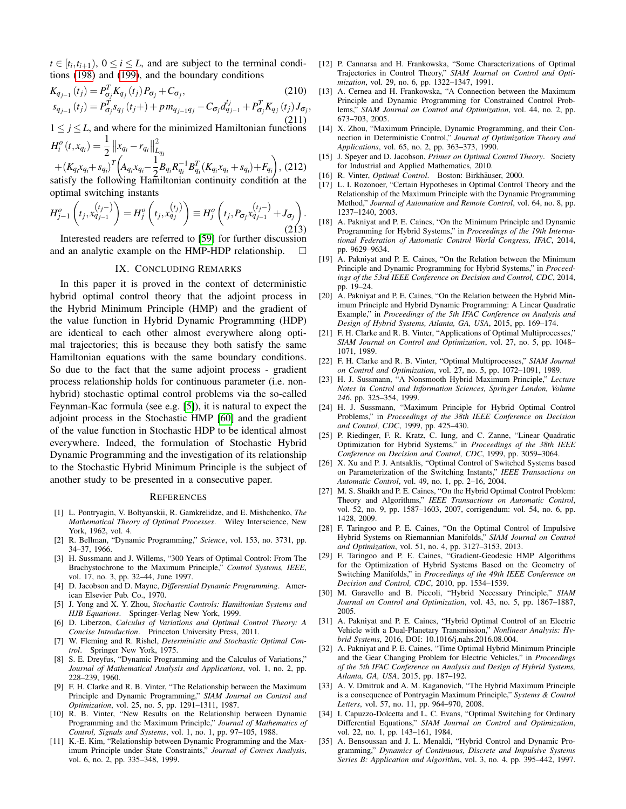$t \in [t_i, t_{i+1}), 0 \le i \le L$ , and are subject to the terminal conditions [\(198\)](#page-12-8) and [\(199\)](#page-12-9), and the boundary conditions

$$
K_{q_{j-1}}(t_j) = P_{\sigma_j}^T K_{q_j}(t_j) P_{\sigma_j} + C_{\sigma_j},
$$
\n(210)  
\n
$$
s_{q_{j-1}}(t_j) = P_{\sigma_j}^T s_{q_j}(t_j+) + p m_{q_{j-1}q_j} - C_{\sigma_j} d_{q_{j-1}}^{t_j} + P_{\sigma_j}^T K_{q_j}(t_j) J_{\sigma_j},
$$
\n(211)

 $1 \leq j \leq L$ , and where for the minimized Hamiltonian functions

$$
H_i^o(t, x_{q_i}) = \frac{1}{2} ||x_{q_i} - r_{q_i}||_{L_{q_i}}^2 + (K_{q_i} x_{q_i} + s_{q_i})^T \left( A_{q_i} x_{q_i} - \frac{1}{2} B_{q_i} R_{q_i}^{-1} B_{q_i}^T (K_{q_i} x_{q_i} + s_{q_i}) + F_{q_i} \right), (212)
$$

satisfy the following Hamiltonian continuity condition at the satisfy the following Hamiltonian continuity condition at the optimal switching instants

$$
H_{j-1}^{o}\left(t_{j}, x_{q_{j-1}}^{(t_{j}-)}\right) = H_{j}^{o}\left(t_{j}, x_{q_{j}}^{(t_{j})}\right) \equiv H_{j}^{o}\left(t_{j}, P_{\sigma_{j}} x_{q_{j-1}}^{(t_{j}-)} + J_{\sigma_{j}}\right).
$$
\n(213)

Interested readers are referred to [\[59\]](#page-14-19) for further discussion and an analytic example on the HMP-HDP relationship.  $\square$ 

# IX. CONCLUDING REMARKS

In this paper it is proved in the context of deterministic hybrid optimal control theory that the adjoint process in the Hybrid Minimum Principle (HMP) and the gradient of the value function in Hybrid Dynamic Programming (HDP) are identical to each other almost everywhere along optimal trajectories; this is because they both satisfy the same Hamiltonian equations with the same boundary conditions. So due to the fact that the same adjoint process - gradient process relationship holds for continuous parameter (i.e. nonhybrid) stochastic optimal control problems via the so-called Feynman-Kac formula (see e.g. [\[5\]](#page-13-7)), it is natural to expect the adjoint process in the Stochastic HMP [\[60\]](#page-14-20) and the gradient of the value function in Stochastic HDP to be identical almost everywhere. Indeed, the formulation of Stochastic Hybrid Dynamic Programming and the investigation of its relationship to the Stochastic Hybrid Minimum Principle is the subject of another study to be presented in a consecutive paper.

#### **REFERENCES**

- <span id="page-13-0"></span>[1] L. Pontryagin, V. Boltyanskii, R. Gamkrelidze, and E. Mishchenko, *The Mathematical Theory of Optimal Processes*. Wiley Interscience, New York, 1962, vol. 4.
- <span id="page-13-1"></span>[2] R. Bellman, "Dynamic Programming," *Science*, vol. 153, no. 3731, pp. 34–37, 1966.
- <span id="page-13-2"></span>[3] H. Sussmann and J. Willems, "300 Years of Optimal Control: From The Brachystochrone to the Maximum Principle," *Control Systems, IEEE*, vol. 17, no. 3, pp. 32–44, June 1997.
- <span id="page-13-3"></span>[4] D. Jacobson and D. Mayne, *Differential Dynamic Programming*. American Elsevier Pub. Co., 1970.
- <span id="page-13-7"></span>[5] J. Yong and X. Y. Zhou, *Stochastic Controls: Hamiltonian Systems and HJB Equations*. Springer-Verlag New York, 1999.
- <span id="page-13-5"></span>[6] D. Liberzon, *Calculus of Variations and Optimal Control Theory: A Concise Introduction*. Princeton University Press, 2011.
- <span id="page-13-8"></span>[7] W. Fleming and R. Rishel, *Deterministic and Stochastic Optimal Control*. Springer New York, 1975.
- <span id="page-13-4"></span>[8] S. E. Dreyfus, "Dynamic Programming and the Calculus of Variations," *Journal of Mathematical Analysis and Applications*, vol. 1, no. 2, pp. 228–239, 1960.
- <span id="page-13-11"></span>[9] F. H. Clarke and R. B. Vinter, "The Relationship between the Maximum Principle and Dynamic Programming," *SIAM Journal on Control and Optimization*, vol. 25, no. 5, pp. 1291–1311, 1987.
- [10] R. B. Vinter, "New Results on the Relationship between Dynamic Programming and the Maximum Principle," *Journal of Mathematics of Control, Signals and Systems*, vol. 1, no. 1, pp. 97–105, 1988.
- [11] K.-E. Kim, "Relationship between Dynamic Programming and the Maximum Principle under State Constraints," *Journal of Convex Analysis*, vol. 6, no. 2, pp. 335–348, 1999.
- [12] P. Cannarsa and H. Frankowska, "Some Characterizations of Optimal Trajectories in Control Theory," *SIAM Journal on Control and Optimization*, vol. 29, no. 6, pp. 1322–1347, 1991.
- [13] A. Cernea and H. Frankowska, "A Connection between the Maximum Principle and Dynamic Programming for Constrained Control Problems," *SIAM Journal on Control and Optimization*, vol. 44, no. 2, pp. 673–703, 2005.
- <span id="page-13-9"></span>[14] X. Zhou, "Maximum Principle, Dynamic Programming, and their Connection in Deterministic Control," *Journal of Optimization Theory and Applications*, vol. 65, no. 2, pp. 363–373, 1990.
- <span id="page-13-6"></span>[15] J. Speyer and D. Jacobson, *Primer on Optimal Control Theory*. Society for Industrial and Applied Mathematics, 2010.
- [16] R. Vinter, *Optimal Control*. Boston: Birkhäuser, 2000.
- <span id="page-13-10"></span>[17] L. I. Rozonoer, "Certain Hypotheses in Optimal Control Theory and the Relationship of the Maximum Principle with the Dynamic Programming Method," *Journal of Automation and Remote Control*, vol. 64, no. 8, pp. 1237–1240, 2003.
- <span id="page-13-12"></span>[18] A. Pakniyat and P. E. Caines, "On the Minimum Principle and Dynamic Programming for Hybrid Systems," in *Proceedings of the 19th International Federation of Automatic Control World Congress, IFAC*, 2014, pp. 9629–9634.
- <span id="page-13-23"></span>[19] A. Pakniyat and P. E. Caines, "On the Relation between the Minimum Principle and Dynamic Programming for Hybrid Systems," in *Proceedings of the 53rd IEEE Conference on Decision and Control, CDC*, 2014, pp. 19–24.
- <span id="page-13-13"></span>[20] A. Pakniyat and P. E. Caines, "On the Relation between the Hybrid Minimum Principle and Hybrid Dynamic Programming: A Linear Quadratic Example," in *Proceedings of the 5th IFAC Conference on Analysis and Design of Hybrid Systems, Atlanta, GA, USA*, 2015, pp. 169–174.
- <span id="page-13-14"></span>[21] F. H. Clarke and R. B. Vinter, "Applications of Optimal Multiprocesses," *SIAM Journal on Control and Optimization*, vol. 27, no. 5, pp. 1048– 1071, 1989.
- [22] F. H. Clarke and R. B. Vinter, "Optimal Multiprocesses," *SIAM Journal on Control and Optimization*, vol. 27, no. 5, pp. 1072–1091, 1989.
- <span id="page-13-22"></span>[23] H. J. Sussmann, "A Nonsmooth Hybrid Maximum Principle," *Lecture Notes in Control and Information Sciences, Springer London, Volume 246*, pp. 325–354, 1999.
- <span id="page-13-17"></span>[24] H. J. Sussmann, "Maximum Principle for Hybrid Optimal Control Problems," in *Proceedings of the 38th IEEE Conference on Decision and Control, CDC*, 1999, pp. 425–430.
- [25] P. Riedinger, F. R. Kratz, C. Iung, and C. Zanne, "Linear Quadratic Optimization for Hybrid Systems," in *Proceedings of the 38th IEEE Conference on Decision and Control, CDC*, 1999, pp. 3059–3064.
- [26] X. Xu and P. J. Antsaklis, "Optimal Control of Switched Systems based on Parameterization of the Switching Instants," *IEEE Transactions on Automatic Control*, vol. 49, no. 1, pp. 2–16, 2004.
- <span id="page-13-20"></span>[27] M. S. Shaikh and P. E. Caines, "On the Hybrid Optimal Control Problem: Theory and Algorithms," *IEEE Transactions on Automatic Control*, vol. 52, no. 9, pp. 1587–1603, 2007, corrigendum: vol. 54, no. 6, pp. 1428, 2009.
- <span id="page-13-15"></span>[28] F. Taringoo and P. E. Caines, "On the Optimal Control of Impulsive Hybrid Systems on Riemannian Manifolds," *SIAM Journal on Control and Optimization*, vol. 51, no. 4, pp. 3127–3153, 2013.
- <span id="page-13-16"></span>[29] F. Taringoo and P. E. Caines, "Gradient-Geodesic HMP Algorithms for the Optimization of Hybrid Systems Based on the Geometry of Switching Manifolds," in *Proceedings of the 49th IEEE Conference on Decision and Control, CDC*, 2010, pp. 1534–1539.
- <span id="page-13-19"></span>[30] M. Garavello and B. Piccoli, "Hybrid Necessary Principle," *SIAM Journal on Control and Optimization*, vol. 43, no. 5, pp. 1867–1887, 2005.
- [31] A. Pakniyat and P. E. Caines, "Hybrid Optimal Control of an Electric Vehicle with a Dual-Planetary Transmission," *Nonlinear Analysis: Hybrid Systems*, 2016, DOI: 10.1016/j.nahs.2016.08.004.
- [32] A. Pakniyat and P. E. Caines, "Time Optimal Hybrid Minimum Principle and the Gear Changing Problem for Electric Vehicles," in *Proceedings of the 5th IFAC Conference on Analysis and Design of Hybrid Systems, Atlanta, GA, USA*, 2015, pp. 187–192.
- [33] A. V. Dmitruk and A. M. Kaganovich, "The Hybrid Maximum Principle is a consequence of Pontryagin Maximum Principle," *Systems & Control Letters*, vol. 57, no. 11, pp. 964–970, 2008.
- <span id="page-13-21"></span>[34] I. Capuzzo-Dolcetta and L. C. Evans, "Optimal Switching for Ordinary Differential Equations," *SIAM Journal on Control and Optimization*, vol. 22, no. 1, pp. 143–161, 1984.
- <span id="page-13-18"></span>A. Bensoussan and J. L. Menaldi, "Hybrid Control and Dynamic Programming," *Dynamics of Continuous, Discrete and Impulsive Systems Series B: Application and Algorithm*, vol. 3, no. 4, pp. 395–442, 1997.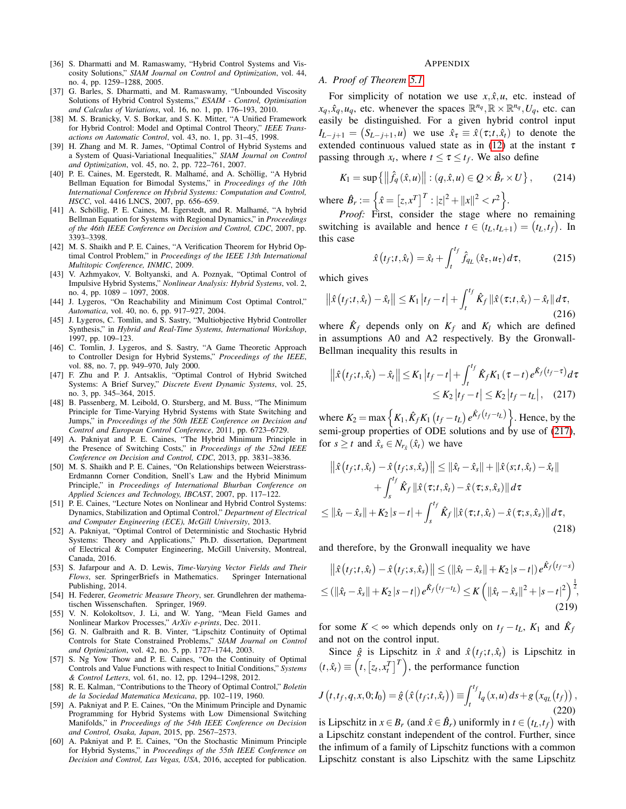- <span id="page-14-1"></span>[36] S. Dharmatti and M. Ramaswamy, "Hybrid Control Systems and Viscosity Solutions," *SIAM Journal on Control and Optimization*, vol. 44, no. 4, pp. 1259–1288, 2005.
- [37] G. Barles, S. Dharmatti, and M. Ramaswamy, "Unbounded Viscosity Solutions of Hybrid Control Systems," *ESAIM - Control, Optimisation and Calculus of Variations*, vol. 16, no. 1, pp. 176–193, 2010.
- <span id="page-14-4"></span>[38] M. S. Branicky, V. S. Borkar, and S. K. Mitter, "A Unified Framework for Hybrid Control: Model and Optimal Control Theory," *IEEE Transactions on Automatic Control*, vol. 43, no. 1, pp. 31–45, 1998.
- <span id="page-14-7"></span>[39] H. Zhang and M. R. James, "Optimal Control of Hybrid Systems and a System of Quasi-Variational Inequalities," *SIAM Journal on Control and Optimization*, vol. 45, no. 2, pp. 722–761, 2007.
- <span id="page-14-2"></span>[40] P. E. Caines, M. Egerstedt, R. Malhamé, and A. Schöllig, "A Hybrid Bellman Equation for Bimodal Systems," in *Proceedings of the 10th International Conference on Hybrid Systems: Computation and Control, HSCC*, vol. 4416 LNCS, 2007, pp. 656–659.
- <span id="page-14-3"></span>[41] A. Schöllig, P. E. Caines, M. Egerstedt, and R. Malhamé, "A hybrid Bellman Equation for Systems with Regional Dynamics," in *Proceedings of the 46th IEEE Conference on Decision and Control, CDC*, 2007, pp. 3393–3398.
- <span id="page-14-8"></span>[42] M. S. Shaikh and P. E. Caines, "A Verification Theorem for Hybrid Optimal Control Problem," in *Proceedings of the IEEE 13th International Multitopic Conference, INMIC*, 2009.
- [43] V. Azhmyakov, V. Boltyanski, and A. Poznyak, "Optimal Control of Impulsive Hybrid Systems," *Nonlinear Analysis: Hybrid Systems*, vol. 2, no. 4, pp. 1089 – 1097, 2008.
- [44] J. Lygeros, "On Reachability and Minimum Cost Optimal Control," *Automatica*, vol. 40, no. 6, pp. 917–927, 2004.
- [45] J. Lygeros, C. Tomlin, and S. Sastry, "Multiobjective Hybrid Controller Synthesis," in *Hybrid and Real-Time Systems, International Workshop*, 1997, pp. 109–123.
- [46] C. Tomlin, J. Lygeros, and S. Sastry, "A Game Theoretic Approach to Controller Design for Hybrid Systems," *Proceedings of the IEEE*, vol. 88, no. 7, pp. 949–970, July 2000.
- <span id="page-14-0"></span>[47] F. Zhu and P. J. Antsaklis, "Optimal Control of Hybrid Switched Systems: A Brief Survey," *Discrete Event Dynamic Systems*, vol. 25, no. 3, pp. 345–364, 2015.
- <span id="page-14-5"></span>[48] B. Passenberg, M. Leibold, O. Stursberg, and M. Buss, "The Minimum Principle for Time-Varying Hybrid Systems with State Switching and Jumps," in *Proceedings of the 50th IEEE Conference on Decision and Control and European Control Conference*, 2011, pp. 6723–6729.
- <span id="page-14-6"></span>[49] A. Pakniyat and P. E. Caines, "The Hybrid Minimum Principle in the Presence of Switching Costs," in *Proceedings of the 52nd IEEE Conference on Decision and Control, CDC*, 2013, pp. 3831–3836.
- <span id="page-14-9"></span>[50] M. S. Shaikh and P. E. Caines, "On Relationships between Weierstrass-Erdmannn Corner Condition, Snell's Law and the Hybrid Minimum Principle," in *Proceedings of International Bhurban Conference on Applied Sciences and Technology, IBCAST*, 2007, pp. 117–122.
- <span id="page-14-10"></span>[51] P. E. Caines, "Lecture Notes on Nonlinear and Hybrid Control Systems: Dynamics, Stabilization and Optimal Control," *Department of Electrical and Computer Engineering (ECE), McGill University*, 2013.
- <span id="page-14-11"></span>[52] A. Pakniyat, "Optimal Control of Deterministic and Stochastic Hybrid Systems: Theory and Applications," Ph.D. dissertation, Department of Electrical & Computer Engineering, McGill University, Montreal, Canada, 2016.
- <span id="page-14-13"></span>[53] S. Jafarpour and A. D. Lewis, *Time-Varying Vector Fields and Their Flows*, ser. SpringerBriefs in Mathematics. Springer International Publishing, 2014.
- <span id="page-14-14"></span>[54] H. Federer, *Geometric Measure Theory*, ser. Grundlehren der mathematischen Wissenschaften. Springer, 1969.
- <span id="page-14-15"></span>[55] V. N. Kolokoltsov, J. Li, and W. Yang, "Mean Field Games and Nonlinear Markov Processes," *ArXiv e-prints*, Dec. 2011.
- <span id="page-14-16"></span>[56] G. N. Galbraith and R. B. Vinter, "Lipschitz Continuity of Optimal Controls for State Constrained Problems," *SIAM Journal on Control and Optimization*, vol. 42, no. 5, pp. 1727–1744, 2003.
- <span id="page-14-17"></span>[57] S. Ng Yow Thow and P. E. Caines, "On the Continuity of Optimal Controls and Value Functions with respect to Initial Conditions," *Systems & Control Letters*, vol. 61, no. 12, pp. 1294–1298, 2012.
- <span id="page-14-18"></span>[58] R. E. Kalman, "Contributions to the Theory of Optimal Control," *Boletin de la Sociedad Matematica Mexicana*, pp. 102–119, 1960.
- <span id="page-14-19"></span>[59] A. Pakniyat and P. E. Caines, "On the Minimum Principle and Dynamic Programming for Hybrid Systems with Low Dimensional Switching Manifolds," in *Proceedings of the 54th IEEE Conference on Decision and Control, Osaka, Japan*, 2015, pp. 2567–2573.
- <span id="page-14-20"></span>[60] A. Pakniyat and P. E. Caines, "On the Stochastic Minimum Principle for Hybrid Systems," in *Proceedings of the 55th IEEE Conference on Decision and Control, Las Vegas, USA*, 2016, accepted for publication.

#### APPENDIX

#### <span id="page-14-12"></span>*A. Proof of Theorem [5.1](#page-4-3)*

For simplicity of notation we use  $x, \hat{x}, u$ , etc. instead of  $x_q, \hat{x}_q, u_q$ , etc. whenever the spaces  $\mathbb{R}^{n_q}, \mathbb{R} \times \mathbb{R}^{n_q}, U_q$ , etc. can easily be distinguished. For a given hybrid control input *I*<sub>*L*−*j*+1</sub> =  $(S_{L-j+1}, u)$  we use  $\hat{x}_{\tau} \equiv \hat{x}(\tau; t, \hat{x}_t)$  to denote the extended continuous valued state as in [\(12\)](#page-3-13) at the instant  $\tau$ passing through  $x_t$ , where  $t \leq \tau \leq t_f$ . We also define

$$
K_1 = \sup \left\{ \left\| \hat{f}_q(\hat{x}, u) \right\| : (q, \hat{x}, u) \in Q \times \hat{B}_r \times U \right\},\qquad(214)
$$

where  $\hat{B}_r := \left\{ \hat{x} = \left[ z, x^T \right]^T : |z|^2 + ||x||^2 < r^2 \right\}.$ 

*Proof:* First, consider the stage where no remaining switching is available and hence  $t \in (t_L, t_{L+1}) = (t_L, t_f)$ . In this case

<span id="page-14-21"></span>
$$
\hat{x}(t_f; t, \hat{x}_t) = \hat{x}_t + \int_t^{t_f} \hat{f}_{q_L}(\hat{x}_\tau, u_\tau) d\tau, \tag{215}
$$

which gives

$$
\left\|\hat{x}(t_f;t,\hat{x}_t)-\hat{x}_t\right\| \leq K_1\left|t_f-t\right|+\int_t^{t_f} \hat{K}_f\left\|\hat{x}(\tau;t,\hat{x}_t)-\hat{x}_t\right\|d\tau,\tag{216}
$$

where  $\hat{K}_f$  depends only on  $K_f$  and  $K_l$  which are defined in assumptions A0 and A2 respectively. By the Gronwall-Bellman inequality this results in

$$
\|\hat{x}(t_f; t, \hat{x}_t) - \hat{x}_t\| \le K_1 |t_f - t| + \int_t^{t_f} \hat{K}_f K_1(\tau - t) e^{\hat{K}_f(t_f - \tau)} d\tau
$$
  

$$
\le K_2 |t_f - t| \le K_2 |t_f - t_L|, \quad (217)
$$

where  $K_2 = \max \left\{ K_1, \hat{K}_f K_1 \left( t_f - t_L \right) e^{\hat{K}_f \left( t_f - t_L \right)} \right\}$ . Hence, by the semi-group properties of ODE solutions and by use of [\(217\)](#page-14-21), for  $s \ge t$  and  $\hat{x}_s \in N_{r_{\hat{x}}}(\hat{x}_t)$  we have

$$
\begin{aligned} \left\| \hat{x} \left( t_{f}; t, \hat{x}_{t} \right) - \hat{x} \left( t_{f}; s, \hat{x}_{s} \right) \right\| &\leq \left\| \hat{x}_{t} - \hat{x}_{s} \right\| + \left\| \hat{x} \left( s; t, \hat{x}_{t} \right) - \hat{x}_{t} \right\| \\ &\quad + \int_{s}^{t_{f}} \hat{K}_{f} \left\| \hat{x} \left( \tau; t, \hat{x}_{t} \right) - \hat{x} \left( \tau; s, \hat{x}_{s} \right) \right\| d\tau \\ &\leq \left\| \hat{x}_{t} - \hat{x}_{s} \right\| + K_{2} \left| s - t \right| + \int_{s}^{t_{f}} \hat{K}_{f} \left\| \hat{x} \left( \tau; t, \hat{x}_{t} \right) - \hat{x} \left( \tau; s, \hat{x}_{s} \right) \right\| d\tau, \end{aligned} \tag{218}
$$

and therefore, by the Gronwall inequality we have

$$
\|\hat{x}(t_f; t, \hat{x}_t) - \hat{x}(t_f; s, \hat{x}_s)\| \leq (\|\hat{x}_t - \hat{x}_s\| + K_2 |s - t|) e^{\hat{K}_f(t_f - s)}
$$
  
\n
$$
\leq (\|\hat{x}_t - \hat{x}_s\| + K_2 |s - t|) e^{\hat{K}_f(t_f - t_L)} \leq K \left( \|\hat{x}_t - \hat{x}_s\|^2 + |s - t|^2 \right)^{\frac{1}{2}},
$$
\n(219)

for some  $K < \infty$  which depends only on  $t_f - t_L$ ,  $K_1$  and  $\hat{K}_f$ and not on the control input.

Since  $\hat{g}$  is Lipschitz in  $\hat{x}$  and  $\hat{x}(t_f; t, \hat{x}_t)$  is Lipschitz in  $(t, \hat{x}_t) \equiv (t, [z_t, x_t^T]^T)$ , the performance function

$$
J(t, t_f, q, x, 0; I_0) = \hat{g}(\hat{x}(t_f; t, \hat{x}_t)) \equiv \int_t^{t_f} I_q(x, u) ds + g(x_{q_L}(t_f)),
$$
\n(220)

is Lipschitz in  $x \in B_r$  (and  $\hat{x} \in \hat{B}_r$ ) uniformly in  $t \in (t_L, t_f)$  with a Lipschitz constant independent of the control. Further, since the infimum of a family of Lipschitz functions with a common Lipschitz constant is also Lipschitz with the same Lipschitz